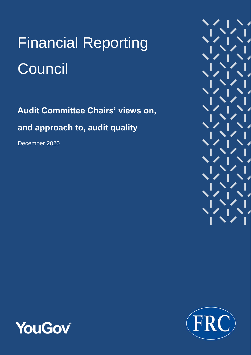# Financial Reporting **Council**

**Audit Committee Chairs' views on, and approach to, audit quality**

December 2020





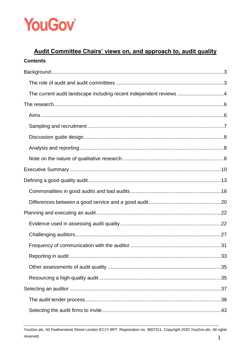

# Audit Committee Chairs' views on, and approach to, audit quality **Contents**

| The current audit landscape including recent independent reviews4 |  |
|-------------------------------------------------------------------|--|
|                                                                   |  |
|                                                                   |  |
|                                                                   |  |
|                                                                   |  |
|                                                                   |  |
|                                                                   |  |
|                                                                   |  |
|                                                                   |  |
|                                                                   |  |
|                                                                   |  |
|                                                                   |  |
|                                                                   |  |
|                                                                   |  |
|                                                                   |  |
|                                                                   |  |
|                                                                   |  |
|                                                                   |  |
|                                                                   |  |
|                                                                   |  |
|                                                                   |  |

YouGov plc, 50 Featherstone Street London EC1Y 8RT. Registration no. 3607311. Copyright 2020 YouGov plc. All rights reserved.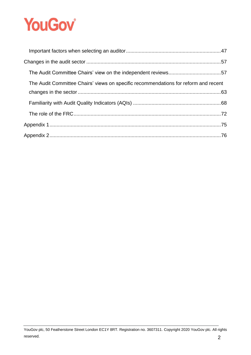# **YouGov**

| The Audit Committee Chairs' views on specific recommendations for reform and recent |  |
|-------------------------------------------------------------------------------------|--|
|                                                                                     |  |
|                                                                                     |  |
|                                                                                     |  |
|                                                                                     |  |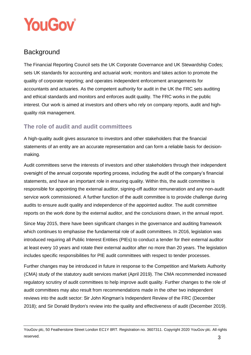

# <span id="page-3-0"></span>**Background**

The Financial Reporting Council sets the UK Corporate Governance and UK Stewardship Codes; sets UK standards for accounting and actuarial work; monitors and takes action to promote the quality of corporate reporting; and operates independent enforcement arrangements for accountants and actuaries. As the competent authority for audit in the UK the FRC sets auditing and ethical standards and monitors and enforces audit quality. The FRC works in the public interest. Our work is aimed at investors and others who rely on company reports, audit and highquality risk management.

# <span id="page-3-1"></span>**The role of audit and audit committees**

A high-quality audit gives assurance to investors and other stakeholders that the financial statements of an entity are an accurate representation and can form a reliable basis for decisionmaking.

Audit committees serve the interests of investors and other stakeholders through their independent oversight of the annual corporate reporting process, including the audit of the company's financial statements, and have an important role in ensuring quality. Within this, the audit committee is responsible for appointing the external auditor, signing-off auditor remuneration and any non-audit service work commissioned. A further function of the audit committee is to provide challenge during audits to ensure audit quality and independence of the appointed auditor. The audit committee reports on the work done by the external auditor, and the conclusions drawn, in the annual report.

Since May 2015, there have been significant changes in the governance and auditing framework which continues to emphasise the fundamental role of audit committees. In 2016, legislation was introduced requiring all Public Interest Entities (PIEs) to conduct a tender for their external auditor at least every 10 years and rotate their external auditor after no more than 20 years. The legislation includes specific responsibilities for PIE audit committees with respect to tender processes.

Further changes may be introduced in future in response to the Competition and Markets Authority (CMA) study of the statutory audit services market (April 2019). The CMA recommended increased regulatory scrutiny of audit committees to help improve audit quality. Further changes to the role of audit committees may also result from recommendations made in the other two independent reviews into the audit sector: Sir John Kingman's Independent Review of the FRC (December 2018); and Sir Donald Brydon's review into the quality and effectiveness of audit (December 2019).

YouGov plc, 50 Featherstone Street London EC1Y 8RT. Registration no. 3607311. Copyright 2020 YouGov plc. All rights reserved.  $3$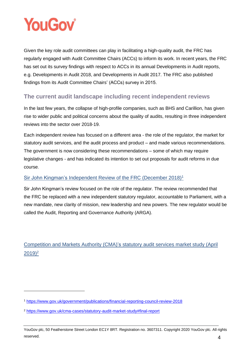

Given the key role audit committees can play in facilitating a high-quality audit, the FRC has regularly engaged with Audit Committee Chairs (ACCs) to inform its work. In recent years, the FRC has set out its survey findings with respect to ACCs in its annual Developments in Audit reports, e.g. Developments in Audit 2018, and Developments in Audit 2017. The FRC also published findings from its Audit Committee Chairs' (ACCs) survey in 2015.

# <span id="page-4-0"></span>**The current audit landscape including recent independent reviews**

In the last few years, the collapse of high-profile companies, such as BHS and Carillion, has given rise to wider public and political concerns about the quality of audits, resulting in three independent reviews into the sector over 2018-19.

Each independent review has focused on a different area - the role of the regulator, the market for statutory audit services, and the audit process and product – and made various recommendations. The government is now considering these recommendations – some of which may require legislative changes - and has indicated its intention to set out proposals for audit reforms in due course.

## Sir John Kingman's Independent Review of the FRC (December 2018)<sup>1</sup>

Sir John Kingman's review focused on the role of the regulator. The review recommended that the FRC be replaced with a new independent statutory regulator, accountable to Parliament, with a new mandate, new clarity of mission, new leadership and new powers. The new regulator would be called the Audit, Reporting and Governance Authority (ARGA).

# Competition and Markets Authority (CMA)'s statutory audit services market study (April  $(2019)^2$

<sup>1</sup> <https://www.gov.uk/government/publications/financial-reporting-council-review-2018>

<sup>2</sup> <https://www.gov.uk/cma-cases/statutory-audit-market-study#final-report>

YouGov plc, 50 Featherstone Street London EC1Y 8RT. Registration no. 3607311. Copyright 2020 YouGov plc. All rights reserved.  $4$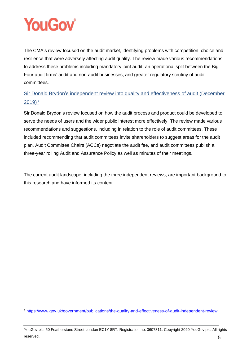

The CMA's review focused on the audit market, identifying problems with competition, choice and resilience that were adversely affecting audit quality. The review made various recommendations to address these problems including mandatory joint audit, an operational split between the Big Four audit firms' audit and non-audit businesses, and greater regulatory scrutiny of audit committees.

Sir Donald Brydon's independent review into quality and effectiveness of audit (December  $2019)^3$ 

Sir Donald Brydon's review focused on how the audit process and product could be developed to serve the needs of users and the wider public interest more effectively. The review made various recommendations and suggestions, including in relation to the role of audit committees. These included recommending that audit committees invite shareholders to suggest areas for the audit plan, Audit Committee Chairs (ACCs) negotiate the audit fee, and audit committees publish a three-year rolling Audit and Assurance Policy as well as minutes of their meetings.

The current audit landscape, including the three independent reviews, are important background to this research and have informed its content.

<sup>3</sup> <https://www.gov.uk/government/publications/the-quality-and-effectiveness-of-audit-independent-review>

YouGov plc, 50 Featherstone Street London EC1Y 8RT. Registration no. 3607311. Copyright 2020 YouGov plc. All rights reserved.  $5$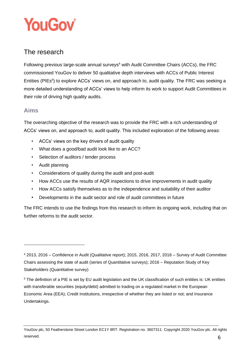

# <span id="page-6-0"></span>The research

Following previous large-scale annual surveys<sup>4</sup> with Audit Committee Chairs (ACCs), the FRC commissioned YouGov to deliver 50 qualitative depth interviews with ACCs of Public Interest Entities (PIEs<sup>5</sup>) to explore ACCs' views on, and approach to, audit quality. The FRC was seeking a more detailed understanding of ACCs' views to help inform its work to support Audit Committees in their role of driving high quality audits.

# <span id="page-6-1"></span>**Aims**

The overarching objective of the research was to provide the FRC with a rich understanding of ACCs' views on, and approach to, audit quality. This included exploration of the following areas:

- ACCs' views on the key drivers of audit quality
- What does a good/bad audit look like to an ACC?
- Selection of auditors / tender process
- Audit planning
- Considerations of quality during the audit and post-audit
- How ACCs use the results of AQR inspections to drive improvements in audit quality
- How ACCs satisfy themselves as to the independence and suitability of their auditor
- Developments in the audit sector and role of audit committees in future

The FRC intends to use the findings from this research to inform its ongoing work, including that on further reforms to the audit sector.

<sup>4</sup> 2013, 2016 – Confidence in Audit (Qualitative report); 2015, 2016, 2017, 2018 – Survey of Audit Committee Chairs assessing the state of audit (series of Quantitative surveys); 2016 – Reputation Study of Key Stakeholders (Quantitative survey)

<sup>5</sup> The definition of a PIE is set by EU audit legislation and the UK classification of such entities is: UK entities with transferable securities (equity/debt) admitted to trading on a regulated market in the European Economic Area (EEA); Credit Institutions, irrespective of whether they are listed or not; and Insurance Undertakings.

YouGov plc, 50 Featherstone Street London EC1Y 8RT. Registration no. 3607311. Copyright 2020 YouGov plc. All rights reserved.  $6$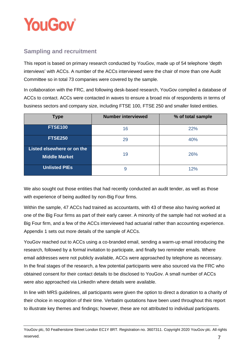

# <span id="page-7-0"></span>**Sampling and recruitment**

This report is based on primary research conducted by YouGov, made up of 54 telephone 'depth interviews' with ACCs. A number of the ACCs interviewed were the chair of more than one Audit Committee so in total 73 companies were covered by the sample.

In collaboration with the FRC, and following desk-based research, YouGov compiled a database of ACCs to contact. ACCs were contacted in waves to ensure a broad mix of respondents in terms of business sectors and company size, including FTSE 100, FTSE 250 and smaller listed entities.

| <b>Type</b>                                        | <b>Number interviewed</b> | % of total sample |
|----------------------------------------------------|---------------------------|-------------------|
| <b>FTSE100</b>                                     | 16                        | 22%               |
| <b>FTSE250</b>                                     | 29                        | 40%               |
| Listed elsewhere or on the<br><b>Middle Market</b> | 19                        | 26%               |
| <b>Unlisted PIEs</b>                               | 9                         | 12%               |

We also sought out those entities that had recently conducted an audit tender, as well as those with experience of being audited by non-Big Four firms.

Within the sample, 47 ACCs had trained as accountants, with 43 of these also having worked at one of the Big Four firms as part of their early career. A minority of the sample had not worked at a Big Four firm, and a few of the ACCs interviewed had actuarial rather than accounting experience. Appendix 1 sets out more details of the sample of ACCs.

YouGov reached out to ACCs using a co-branded email, sending a warm-up email introducing the research, followed by a formal invitation to participate, and finally two reminder emails. Where email addresses were not publicly available, ACCs were approached by telephone as necessary. In the final stages of the research, a few potential participants were also sourced via the FRC who obtained consent for their contact details to be disclosed to YouGov. A small number of ACCs were also approached via LinkedIn where details were available.

In line with MRS guidelines, all participants were given the option to direct a donation to a charity of their choice in recognition of their time. Verbatim quotations have been used throughout this report to illustrate key themes and findings; however, these are not attributed to individual participants.

YouGov plc, 50 Featherstone Street London EC1Y 8RT. Registration no. 3607311. Copyright 2020 YouGov plc. All rights reserved. The contract of the contract of the contract of the contract of the contract of the contract of the contract of the contract of the contract of the contract of the contract of the contract of the contract of the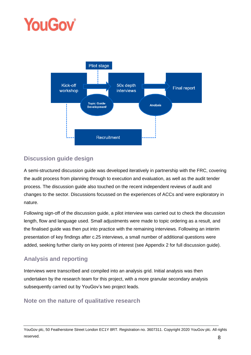# **YouGov**



# <span id="page-8-0"></span>**Discussion guide design**

A semi-structured discussion guide was developed iteratively in partnership with the FRC, covering the audit process from planning through to execution and evaluation, as well as the audit tender process. The discussion guide also touched on the recent independent reviews of audit and changes to the sector. Discussions focussed on the experiences of ACCs and were exploratory in nature.

Following sign-off of the discussion guide, a pilot interview was carried out to check the discussion length, flow and language used. Small adjustments were made to topic ordering as a result, and the finalised guide was then put into practice with the remaining interviews. Following an interim presentation of key findings after c.25 interviews, a small number of additional questions were added, seeking further clarity on key points of interest (see Appendix 2 for full discussion guide).

# <span id="page-8-1"></span>**Analysis and reporting**

Interviews were transcribed and compiled into an analysis grid. Initial analysis was then undertaken by the research team for this project, with a more granular secondary analysis subsequently carried out by YouGov's two project leads.

# <span id="page-8-2"></span>**Note on the nature of qualitative research**

YouGov plc, 50 Featherstone Street London EC1Y 8RT. Registration no. 3607311. Copyright 2020 YouGov plc. All rights reserved. 8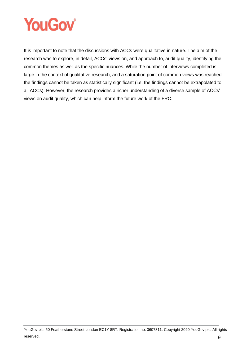

It is important to note that the discussions with ACCs were qualitative in nature. The aim of the research was to explore, in detail, ACCs' views on, and approach to, audit quality, identifying the common themes as well as the specific nuances. While the number of interviews completed is large in the context of qualitative research, and a saturation point of common views was reached, the findings cannot be taken as statistically significant (i.e. the findings cannot be extrapolated to all ACCs). However, the research provides a richer understanding of a diverse sample of ACCs' views on audit quality, which can help inform the future work of the FRC.

YouGov plc, 50 Featherstone Street London EC1Y 8RT. Registration no. 3607311. Copyright 2020 YouGov plc. All rights reserved. 9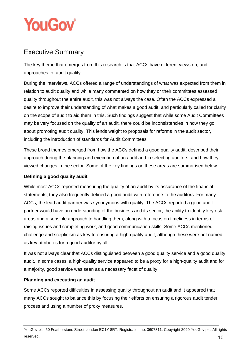

# <span id="page-10-0"></span>Executive Summary

The key theme that emerges from this research is that ACCs have different views on, and approaches to, audit quality.

During the interviews, ACCs offered a range of understandings of what was expected from them in relation to audit quality and while many commented on how they or their committees assessed quality throughout the entire audit, this was not always the case. Often the ACCs expressed a desire to improve their understanding of what makes a good audit, and particularly called for clarity on the scope of audit to aid them in this. Such findings suggest that while some Audit Committees may be very focused on the quality of an audit, there could be inconsistencies in how they go about promoting audit quality. This lends weight to proposals for reforms in the audit sector, including the introduction of standards for Audit Committees.

These broad themes emerged from how the ACCs defined a good quality audit, described their approach during the planning and execution of an audit and in selecting auditors, and how they viewed changes in the sector. Some of the key findings on these areas are summarised below.

## **Defining a good quality audit**

While most ACCs reported measuring the quality of an audit by its assurance of the financial statements, they also frequently defined a good audit with reference to the auditors. For many ACCs, the lead audit partner was synonymous with quality. The ACCs reported a good audit partner would have an understanding of the business and its sector, the ability to identify key risk areas and a sensible approach to handling them, along with a focus on timeliness in terms of raising issues and completing work, and good communication skills. Some ACCs mentioned challenge and scepticism as key to ensuring a high-quality audit, although these were not named as key attributes for a good auditor by all.

It was not always clear that ACCs distinguished between a good quality service and a good quality audit. In some cases, a high-quality service appeared to be a proxy for a high-quality audit and for a majority, good service was seen as a necessary facet of quality.

## **Planning and executing an audit**

Some ACCs reported difficulties in assessing quality throughout an audit and it appeared that many ACCs sought to balance this by focusing their efforts on ensuring a rigorous audit tender process and using a number of proxy measures.

YouGov plc, 50 Featherstone Street London EC1Y 8RT. Registration no. 3607311. Copyright 2020 YouGov plc. All rights reserved.  $10$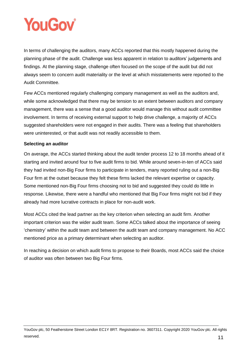# **YouGov**

In terms of challenging the auditors, many ACCs reported that this mostly happened during the planning phase of the audit. Challenge was less apparent in relation to auditors' judgements and findings. At the planning stage, challenge often focused on the scope of the audit but did not always seem to concern audit materiality or the level at which misstatements were reported to the Audit Committee.

Few ACCs mentioned regularly challenging company management as well as the auditors and, while some acknowledged that there may be tension to an extent between auditors and company management, there was a sense that a good auditor would manage this without audit committee involvement. In terms of receiving external support to help drive challenge, a majority of ACCs suggested shareholders were not engaged in their audits. There was a feeling that shareholders were uninterested, or that audit was not readily accessible to them.

## **Selecting an auditor**

On average, the ACCs started thinking about the audit tender process 12 to 18 months ahead of it starting and invited around four to five audit firms to bid. While around seven-in-ten of ACCs said they had invited non-Big Four firms to participate in tenders, many reported ruling out a non-Big Four firm at the outset because they felt these firms lacked the relevant expertise or capacity. Some mentioned non-Big Four firms choosing not to bid and suggested they could do little in response. Likewise, there were a handful who mentioned that Big Four firms might not bid if they already had more lucrative contracts in place for non-audit work.

Most ACCs cited the lead partner as the key criterion when selecting an audit firm. Another important criterion was the wider audit team. Some ACCs talked about the importance of seeing 'chemistry' within the audit team and between the audit team and company management. No ACC mentioned price as a primary determinant when selecting an auditor.

In reaching a decision on which audit firms to propose to their Boards, most ACCs said the choice of auditor was often between two Big Four firms.

YouGov plc, 50 Featherstone Street London EC1Y 8RT. Registration no. 3607311. Copyright 2020 YouGov plc. All rights reserved. **11**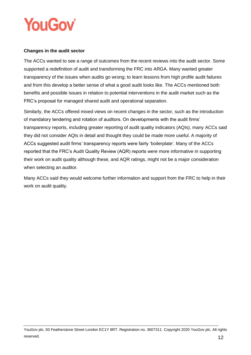

### **Changes in the audit sector**

The ACCs wanted to see a range of outcomes from the recent reviews into the audit sector. Some supported a redefinition of audit and transforming the FRC into ARGA. Many wanted greater transparency of the issues when audits go wrong; to learn lessons from high profile audit failures and from this develop a better sense of what a good audit looks like. The ACCs mentioned both benefits and possible issues in relation to potential interventions in the audit market such as the FRC's proposal for managed shared audit and operational separation.

Similarly, the ACCs offered mixed views on recent changes in the sector, such as the introduction of mandatory tendering and rotation of auditors. On developments with the audit firms' transparency reports, including greater reporting of audit quality indicators (AQIs), many ACCs said they did not consider AQIs in detail and thought they could be made more useful. A majority of ACCs suggested audit firms' transparency reports were fairly 'boilerplate'. Many of the ACCs reported that the FRC's Audit Quality Review (AQR) reports were more informative in supporting their work on audit quality although these, and AQR ratings, might not be a major consideration when selecting an auditor.

Many ACCs said they would welcome further information and support from the FRC to help in their work on audit quality.

YouGov plc, 50 Featherstone Street London EC1Y 8RT. Registration no. 3607311. Copyright 2020 YouGov plc. All rights reserved.  $12$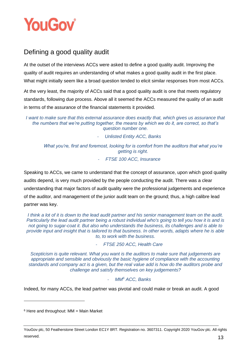

# <span id="page-13-0"></span>Defining a good quality audit

At the outset of the interviews ACCs were asked to define a good quality audit. Improving the quality of audit requires an understanding of what makes a good quality audit in the first place. What might initially seem like a broad question tended to elicit similar responses from most ACCs.

At the very least, the majority of ACCs said that a good quality audit is one that meets regulatory standards, following due process. Above all it seemed the ACCs measured the quality of an audit in terms of the assurance of the financial statements it provided.

*I want to make sure that this external assurance does exactly that, which gives us assurance that the numbers that we're putting together, the means by which we do it, are correct, so that's question number one.*

- *Unlisted Entity ACC, Banks*

*What you're, first and foremost, looking for is comfort from the auditors that what you're getting is right.*

- *FTSE 100 ACC, Insurance*

Speaking to ACCs, we came to understand that the concept of assurance, upon which good quality audits depend, is very much provided by the people conducting the audit. There was a clear understanding that major factors of audit quality were the professional judgements and experience of the auditor, and management of the junior audit team on the ground; thus, a high calibre lead partner was key.

*I think a lot of it is down to the lead audit partner and his senior management team on the audit. Particularly the lead audit partner being a robust individual who's going to tell you how it is and is not going to sugar-coat it. But also who understands the business, its challenges and is able to provide input and insight that is tailored to that business. In other words, adapts where he is able to, to work with the business.*

- *FTSE 250 ACC, Health Care*

*Scepticism is quite relevant. What you want is the auditors to make sure that judgements are appropriate and sensible and obviously the basic hygiene of compliance with the accounting standards and company act is a given, but the real value add is how do the auditors probe and challenge and satisfy themselves on key judgements?*

## - *MM<sup>6</sup> ACC, Banks*

Indeed, for many ACCs, the lead partner was pivotal and could make or break an audit. A good

 $6$  Here and throughout: MM = Main Market

YouGov plc, 50 Featherstone Street London EC1Y 8RT. Registration no. 3607311. Copyright 2020 YouGov plc. All rights reserved.  $13$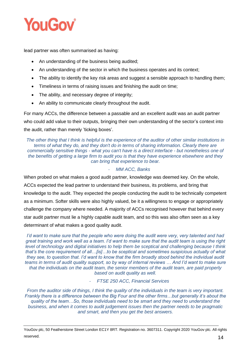

lead partner was often summarised as having:

- An understanding of the business being audited;
- An understanding of the sector in which the business operates and its context;
- The ability to identify the key risk areas and suggest a sensible approach to handling them;
- Timeliness in terms of raising issues and finishing the audit on time;
- The ability, and necessary degree of integrity;
- An ability to communicate clearly throughout the audit.

For many ACCs, the difference between a passable and an excellent audit was an audit partner who could add value to their outputs, bringing their own understanding of the sector's context into the audit, rather than merely 'ticking boxes'.

*The other thing that I think is helpful is the experience of the auditor of other similar institutions in terms of what they do, and they don't do in terms of sharing information. Clearly there are commercially sensitive things - what you can't have is a direct interface - but nonetheless one of the benefits of getting a large firm to audit you is that they have experience elsewhere and they can bring that experience to bear.*

### - *MM ACC, Banks*

When probed on what makes a good audit partner, knowledge was deemed key. On the whole, ACCs expected the lead partner to understand their business, its problems, and bring that knowledge to the audit. They expected the people conducting the audit to be technically competent as a minimum. Softer skills were also highly valued, be it a willingness to engage or appropriately challenge the company where needed. A majority of ACCs recognised however that behind every star audit partner must lie a highly capable audit team, and so this was also often seen as a key determinant of what makes a good quality audit.

*I'd want to make sure that the people who were doing the audit were very, very talented and had great training and work well as a team. I'd want to make sure that the audit team is using the right level of technology and digital initiatives to help them be sceptical and challenging because I think that's the core requirement of all…[is]…to be sceptical and sometimes suspicious actually of what they see, to question that. I'd want to know that the firm broadly stood behind the individual audit teams in terms of audit quality support, so by way of internal reviews … And I'd want to make sure that the individuals on the audit team, the senior members of the audit team, are paid properly based on audit quality as well.*

- *FTSE 250 ACC, Financial Services*

*From the auditor side of things, I think the quality of the individuals in the team is very important. Frankly there is a difference between the Big Four and the other firms…but generally it's about the quality of the team…So, those individuals need to be smart and they need to understand the business, and when it comes to audit judgement issues then the partner needs to be pragmatic and smart, and then you get the best answers.*

YouGov plc, 50 Featherstone Street London EC1Y 8RT. Registration no. 3607311. Copyright 2020 YouGov plc. All rights reserved.  $14$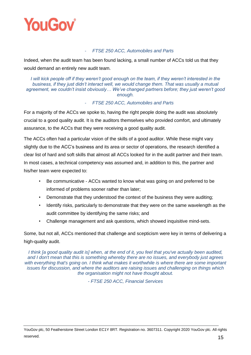

### - *FTSE 250 ACC, Automobiles and Parts*

Indeed, when the audit team has been found lacking, a small number of ACCs told us that they would demand an entirely new audit team.

*I will kick people off if they weren't good enough on the team, if they weren't interested in the business, if they just didn't interact well, we would change them. That was usually a mutual agreement, we couldn't insist obviously… We've changed partners before; they just weren't good enough.*

### - *FTSE 250 ACC, Automobiles and Parts*

For a majority of the ACCs we spoke to, having the right people doing the audit was absolutely crucial to a good quality audit. It is the auditors themselves who provided comfort, and ultimately assurance, to the ACCs that they were receiving a good quality audit.

The ACCs often had a particular vision of the skills of a good auditor. While these might vary slightly due to the ACC's business and its area or sector of operations, the research identified a clear list of hard and soft skills that almost all ACCs looked for in the audit partner and their team. In most cases, a technical competency was assumed and, in addition to this, the partner and his/her team were expected to:

- Be communicative ACCs wanted to know what was going on and preferred to be informed of problems sooner rather than later;
- Demonstrate that they understood the context of the business they were auditing;
- Identify risks, particularly to demonstrate that they were on the same wavelength as the audit committee by identifying the same risks; and
- Challenge management and ask questions, which showed inquisitive mind-sets.

Some, but not all, ACCs mentioned that challenge and scepticism were key in terms of delivering a high-quality audit.

*I think [a good quality audit is] when, at the end of it, you feel that you've actually been audited, and I don't mean that this is something whereby there are no issues, and everybody just agrees*  with everything that's going on. I think what makes it worthwhile is where there are some important *issues for discussion, and where the auditors are raising issues and challenging on things which the organisation might not have thought about.*

*- FTSE 250 ACC, Financial Services*

YouGov plc, 50 Featherstone Street London EC1Y 8RT. Registration no. 3607311. Copyright 2020 YouGov plc. All rights reserved.  $15$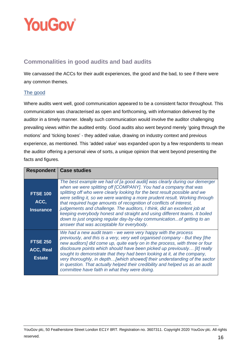

# <span id="page-16-0"></span>**Commonalities in good audits and bad audits**

We canvassed the ACCs for their audit experiences, the good and the bad, to see if there were any common themes.

## The good

Where audits went well, good communication appeared to be a consistent factor throughout. This communication was characterised as open and forthcoming, with information delivered by the auditor in a timely manner. Ideally such communication would involve the auditor challenging prevailing views within the audited entity. Good audits also went beyond merely 'going through the motions' and 'ticking boxes' - they added value, drawing on industry context and previous experience, as mentioned. This 'added value' was expanded upon by a few respondents to mean the auditor offering a personal view of sorts, a unique opinion that went beyond presenting the facts and figures.

|                                               | <b>Respondent   Case studies</b>                                                                                                                                                                                                                                                                                                                                                                                                                                                                                                                                                                                                                                  |
|-----------------------------------------------|-------------------------------------------------------------------------------------------------------------------------------------------------------------------------------------------------------------------------------------------------------------------------------------------------------------------------------------------------------------------------------------------------------------------------------------------------------------------------------------------------------------------------------------------------------------------------------------------------------------------------------------------------------------------|
| <b>FTSE 100</b><br>ACC.<br><b>Insurance</b>   | The best example we had of [a good audit] was clearly during our demerger<br>when we were splitting off [COMPANY]. You had a company that was<br>splitting off who were clearly looking for the best result possible and we<br>were selling it, so we were wanting a more prudent result. Working through<br>that required huge amounts of recognition of conflicts of interest,<br>judgements and challenge. The auditors, I think, did an excellent job at<br>keeping everybody honest and straight and using different teams. It boiled<br>down to just ongoing regular day-by-day communication of getting to an<br>answer that was acceptable for everybody. |
| <b>FTSE 250</b><br>ACC, Real<br><b>Estate</b> | We had a new audit team - we were very happy with the process<br>previously, and this is a very, very well organised company - But they [the<br>new auditors] did come up, quite early on in the process, with three or four<br>disclosure points which should have been picked up previously [it] really<br>sought to demonstrate that they had been looking at it, at the company,<br>very thoroughly, in depth[which showed] their understanding of the sector<br>in question. That actually helped their credibility and helped us as an audit<br>committee have faith in what they were doing.                                                               |

YouGov plc, 50 Featherstone Street London EC1Y 8RT. Registration no. 3607311. Copyright 2020 YouGov plc. All rights reserved.  $16$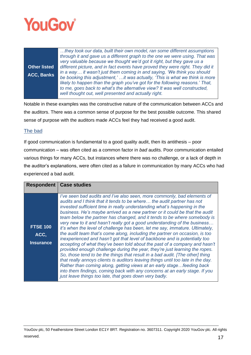

|                     | they took our data, built their own model, ran some different assumptions      |
|---------------------|--------------------------------------------------------------------------------|
|                     | through it and gave us a different graph to the one we were using. That was    |
|                     | very valuable because we thought we'd got it right, but they gave us a         |
| <b>Other listed</b> | different picture, and in fact events have proved they were right. They did it |
| <b>ACC, Banks</b>   | in a way it wasn't just them coming in and saying, 'We think you should        |
|                     | be booking this adjustment,'it was actually, 'This is what we think is more    |
|                     | likely to happen than the graph you've got for the following reasons.' That,   |
|                     | to me, goes back to what's the alternative view? It was well constructed,      |
|                     | well thought out, well presented and actually right.                           |
|                     |                                                                                |

Notable in these examples was the constructive nature of the communication between ACCs and the auditors. There was a common sense of purpose for the best possible outcome. This shared sense of purpose with the auditors made ACCs feel they had received a good audit.

## The bad

If good communication is fundamental to a good quality audit, then its antithesis – poor communication – was often cited as a common factor in *bad* audits. Poor communication entailed various things for many ACCs, but instances where there was no challenge, or a lack of depth in the auditor's explanations, were often cited as a failure in communication by many ACCs who had experienced a bad audit.

|                                             | <b>Respondent   Case studies</b>                                                                                                                                                                                                                                                                                                                                                                                                                                                                                                                                                                                                                                                                                                                                                                                                                                                                                                                                                                                                                                                                                                                                                                                                                                        |
|---------------------------------------------|-------------------------------------------------------------------------------------------------------------------------------------------------------------------------------------------------------------------------------------------------------------------------------------------------------------------------------------------------------------------------------------------------------------------------------------------------------------------------------------------------------------------------------------------------------------------------------------------------------------------------------------------------------------------------------------------------------------------------------------------------------------------------------------------------------------------------------------------------------------------------------------------------------------------------------------------------------------------------------------------------------------------------------------------------------------------------------------------------------------------------------------------------------------------------------------------------------------------------------------------------------------------------|
|                                             |                                                                                                                                                                                                                                                                                                                                                                                                                                                                                                                                                                                                                                                                                                                                                                                                                                                                                                                                                                                                                                                                                                                                                                                                                                                                         |
| <b>FTSE 100</b><br>ACC,<br><b>Insurance</b> | I've seen bad audits and I've also seen, more commonly, bad elements of<br>audits and I think that it tends to be where the audit partner has not<br>invested sufficient time in really understanding what's happening in the<br>business. He's maybe arrived as a new partner or it could be that the audit<br>team below the partner has changed, and it tends to be where somebody is<br>very new to it and hasn't really got a good understanding of the business<br>it's when the level of challenge has been, let me say, immature. Ultimately,<br>the audit team that's come along, including the partner on occasion, is too<br>inexperienced and hasn't got that level of backbone and is potentially too<br>accepting of what they've been told about the past of a company and hasn't<br>provided enough challenge during the year, they're just learning the ropes.<br>So, those tend to be the things that result in a bad audit. [The other] thing<br>that really annoys clients is auditors leaving things until too late in the day.<br>Rather than coming along, getting views at an early stage feeding back<br>into them findings, coming back with any concerns at an early stage. If you<br>just leave things too late, that goes down very badly. |
|                                             |                                                                                                                                                                                                                                                                                                                                                                                                                                                                                                                                                                                                                                                                                                                                                                                                                                                                                                                                                                                                                                                                                                                                                                                                                                                                         |

YouGov plc, 50 Featherstone Street London EC1Y 8RT. Registration no. 3607311. Copyright 2020 YouGov plc. All rights reserved.  $17$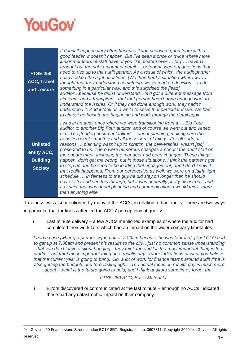

| <b>FTSE 250</b><br><b>ACC, Travel</b><br>and Leisure                | It doesn't happen very often because if you choose a good team with a<br>good leader, it doesn't happen. But I've seen it once or twice where more<br>junior members of staff have, if you like, floated over  [or]  haven't<br>brought out the right amount of detail  or [not passed on] questions that<br>need to rise up to the audit partner. As a result of which, the audit partner<br>hasn't asked the right questions. [We then had] a situation where we've<br>thought that they understood something, we've made a decision to do<br>something in a particular way, and this surprised the [lead]<br>auditorbecause he didn't understand. He'd got a different message from<br>his team, and it transpiredthat that person hadn't done enough work to<br>understand the issues. Or if they had done enough work, they hadn't<br>understood it. And it took us a while to solve that particular issue. We had<br>to almost go back to the beginning and work through the detail again.                                              |
|---------------------------------------------------------------------|-----------------------------------------------------------------------------------------------------------------------------------------------------------------------------------------------------------------------------------------------------------------------------------------------------------------------------------------------------------------------------------------------------------------------------------------------------------------------------------------------------------------------------------------------------------------------------------------------------------------------------------------------------------------------------------------------------------------------------------------------------------------------------------------------------------------------------------------------------------------------------------------------------------------------------------------------------------------------------------------------------------------------------------------------|
| <b>Unlisted</b><br>entity ACC,<br><b>Building</b><br><b>Society</b> | I was in an audit once where we were transitioning from a  Big Four<br>auditor to another Big Four auditor, and of course we went out and vetted<br>him. The [tender] document talked  about planning, making sure the<br>transition went smoothly and all these sorts of things. For all sorts of<br>reasons  planning wasn't up to scratch, the deliverables, wasn't [sic]<br>presented to us. There were numerous changes amongst the audit staff on<br>the engagement, including the manager had been changed. These things<br>happen, don't get me wrong, but in those situations, I think the partner's got<br>to step up and be seen to be leading that engagement, and I don't know if<br>that really happened. From our perspective as well, we were on a fairly tight<br>schedule  In fairness to the guy he did stay on longer than he should<br>have to try and see this through, but it was generally pretty disastrous, and<br>as I said, that was about planning and communication, I would think, more<br>than anything else. |

Tardiness was also mentioned by many of the ACCs, in relation to bad audits. There are two ways in particular that tardiness affected the ACCs' perceptions of quality:

i) Last minute delivery – a few ACCs mentioned examples of where the auditor had completed their work late, which had an impact on the wider company timetables.

*I had a case [where] a partner signed off at 2.00am because he was [abroad]. [The] CFO had to get up at 7.00am and present his results to the city…just no common sense understanding that you don't leave a client hanging…they think the audit is the most important thing in the world… but [the] most important thing on a results day is your indications of what you believe that the current year is going to bring. So, a lot of work for finance teams around audit time is also getting the budgets and forecasting right…The actual focus on results day is much more about …what is the future going to hold, and I think auditors sometimes forget that.*

## - *FTSE 250 ACC, Basic Materials*

ii) Errors discovered or communicated at the last minute – although no ACCs indicated these had any catastrophic impact on their company.

YouGov plc, 50 Featherstone Street London EC1Y 8RT. Registration no. 3607311. Copyright 2020 YouGov plc. All rights reserved. **18**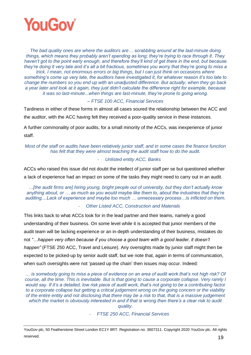

*The bad quality ones are where the auditors are… scrabbling around at the last-minute doing things, which means they probably aren't spending as long; they're trying to race through it. They haven't got to the point early enough, and therefore they'll kind of get there in the end, but because they're doing it very late and it's all a bit fractious, sometimes you worry that they're going to miss a trick. I mean, not enormous errors or big things, but I can just think on occasions where* 

*something's come up very late, the auditors have investigated it, for whatever reason it's too late to change the numbers so you end up with an unadjusted difference. But actually, when they go back a year later and look at it again, they just didn't calculate the difference right for example, because it was so last-minute...when things are last-minute, they're prone to going wrong.*

#### *– FTSE 100 ACC, Financial Services*

Tardiness in either of these forms in almost all cases soured the relationship between the ACC and the auditor, with the ACC having felt they received a poor-quality service in these instances.

A further commonality of poor audits, for a small minority of the ACCs, was inexperience of junior staff.

*Most of the staff on audits have been relatively junior staff, and in some cases the finance function has felt that they were almost teaching the audit staff how to do the audit.*

### - *Unlisted entity ACC, Banks*

ACCs who raised this issue did not doubt the intellect of junior staff per se but questioned whether a lack of experience had an impact on some of the tasks they might need to carry out in an audit.

*…[the audit firms are] hiring young, bright people out of university, but they don't actually know anything about, or … as much as you would maybe like them to, about the industries that they're auditing....Lack of experience and maybe too much … unnecessary process…is inflicted on them.*

- *Other Listed ACC, Construction and Materials*

This links back to what ACCs look for in the lead partner and their teams, namely a good understanding of their business. On some level while it is accepted that junior members of the audit team will be lacking experience or an in-depth understanding of their business, mistakes do not *"…happen very often because if you choose a good team with a good leader, it doesn't happen"* (FTSE 250 ACC, Travel and Leisure). Any oversights made by junior staff might then be expected to be picked-up by senior audit staff, but we note that, again in terms of communication, when such oversights were not 'passed up the chain' then issues may occur. Indeed:

*… is somebody going to miss a piece of evidence on an area of audit work that's not high risk? Of course, all the time. This is inevitable. But is that going to cause a corporate collapse. Very rarely I would say. If it's a detailed, low risk piece of audit work, that's not going to be a contributing factor to a corporate collapse but getting a critical judgement wrong on the going concern or the viability of the entire entity and not disclosing that there may be a risk to that, that is a massive judgement which the market is obviously interested in and if that is wrong then there's a clear risk to audit quality.*

- *FTSE 250 ACC, Financial Services*

YouGov plc, 50 Featherstone Street London EC1Y 8RT. Registration no. 3607311. Copyright 2020 YouGov plc. All rights reserved. **19**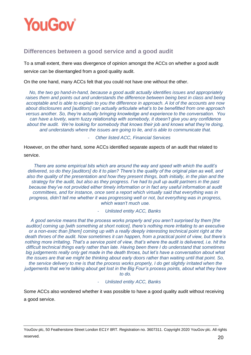

# <span id="page-20-0"></span>**Differences between a good service and a good audit**

To a small extent, there was divergence of opinion amongst the ACCs on whether a good audit service can be disentangled from a good quality audit.

On the one hand, many ACCs felt that you could not have one without the other.

*No, the two go hand-in-hand, because a good audit actually identifies issues and appropriately raises them and points out and understands the difference between being best in class and being acceptable and is able to explain to you the difference in approach. A lot of the accounts are now about disclosures and [auditors] can actually articulate what's to be benefitted from one approach versus another. So, they're actually bringing knowledge and experience to the conversation. You can have a lovely, warm fuzzy relationship with somebody, it doesn't give you any confidence about the audit. We're looking for somebody that knows their job and knows what they're doing, and understands where the issues are going to lie, and is able to communicate that.*

- *Other listed ACC, Financial Services*

However, on the other hand, some ACCs identified separate aspects of an audit that related to service.

*There are some empirical bits which are around the way and speed with which the audit's delivered, so do they [auditors] do it to plan? There's the quality of the original plan as well, and*  also the quality of the presentation and how they present things, both initially, in the plan and the *strategy for the audit, but also as they progress. I've had to pull up audit partners in the past because they've not provided either timely information or in fact any useful information at audit committees, and for instance, once sent a report which virtually said that everything was in progress, didn't tell me whether it was progressing well or not, but everything was in progress, which wasn't much use.* 

- *Unlisted entity ACC, Banks*

*A good service means that the process works properly and you aren't surprised by them [the auditor] coming up [with something at short notice], there's nothing more irritating to an executive or a non-exec than [them] coming up with a really deeply interesting technical point right at the death throes of the audit. Now sometimes it can happen, from a practical point of view, but there's nothing more irritating. That's a service point of view, that's where the audit is delivered, i.e. hit the difficult technical things early rather than late. Having been there I do understand that sometimes big judgements really only get made in the death throes, but let's have a conversation about what the issues are that we might be thinking about early doors rather than waiting until that point. So, the service delivery to me is that the process works properly, I do get slightly irritated when the judgements that we're talking about get lost in the Big Four's process points, about what they have to do.*

#### - *Unlisted entity ACC, Banks*

Some ACCs also wondered whether it was possible to have a good quality audit without receiving a good service.

YouGov plc, 50 Featherstone Street London EC1Y 8RT. Registration no. 3607311. Copyright 2020 YouGov plc. All rights reserved.  $20$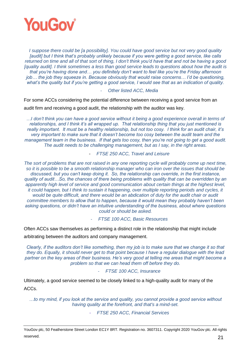

*I suppose there could be [a possibility]. You could have good service but not very good quality [audit] but I think that's probably unlikely because if you were getting a good service, like calls returned on time and all of that sort of thing, I don't think you'd have that and not be having a good [quality audit]. I think sometimes a less than good service leads to questions about how the audit is that you're having done and… you definitely don't want to feel like you're the Friday afternoon job… the job they squeeze in. Because obviously that would raise concerns… I'd be questioning,*  what's the quality but if you're getting a good service, I would see that as an indication of quality.

- *Other listed ACC, Media*

For some ACCs considering the potential difference between receiving a good service from an

audit firm and receiving a good audit, the relationship with the auditor was key.

*…I don't think you can have a good service without it being a good experience overall in terms of relationships, and I think it's all wrapped up. That relationship thing that you just mentioned is really important. It must be a healthy relationship, but not too cosy. I think for an audit chair, it's very important to make sure that it doesn't become too cosy between the audit team and the management team in the business. If that gets too cosy, then you're not going to get a good audit. The audit needs to be challenging management, but as I say, in the right areas.*

#### - *FTSE 250 ACC, Travel and Leisure*

*The sort of problems that are not raised in any one reporting cycle will probably come up next time, so it is possible to be a smooth relationship manager who can iron over the issues that should be discussed, but you can't keep doing it. So, the relationship can override, in the first instance, quality of audit…So, the chances of there being problems with quality that can be overridden by an apparently high level of service and good communication about certain things at the highest level, it could happen, but I think to sustain it happening, over multiple reporting periods and cycles, it would be quite difficult, and there would be an abdication of duty for the audit chair or audit committee members to allow that to happen, because it would mean they probably haven't been asking questions, or didn't have an intuitive understanding of the business, about where questions could or should be asked.*

- *FTSE 100 ACC, Basic Resources*

Often ACCs saw themselves as performing a distinct role in the relationship that might include

arbitrating between the auditors and company management.

*Clearly, if the auditors don't like something, then my job is to make sure that we change it so that they do. Equally, it should never get to that point because I have a regular dialogue with the lead partner on the key areas of their business. He's very good at telling me areas that might become a problem so that we can head them off before they do.*

#### - *FTSE 100 ACC, Insurance*

Ultimately, a good service seemed to be closely linked to a high-quality audit for many of the ACCs.

*…to my mind, if you look at the service and quality, you cannot provide a good service without having quality at the forefront, and that's a mind-set.*

- *FTSE 250 ACC, Financial Services*

YouGov plc, 50 Featherstone Street London EC1Y 8RT. Registration no. 3607311. Copyright 2020 YouGov plc. All rights reserved. 21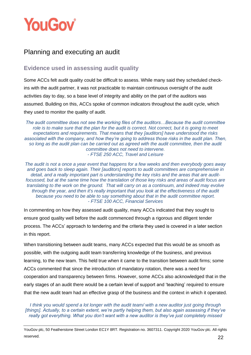

# <span id="page-22-0"></span>Planning and executing an audit

# <span id="page-22-1"></span>**Evidence used in assessing audit quality**

Some ACCs felt audit quality could be difficult to assess. While many said they scheduled checkins with the audit partner, it was not practicable to maintain continuous oversight of the audit activities day to day, so a base level of integrity and ability on the part of the auditors was assumed. Building on this, ACCs spoke of common indicators throughout the audit cycle, which they used to monitor the quality of audit.

*The audit committee does not see the working files of the auditors…Because the audit committee role is to make sure that the plan for the audit is correct. Not correct, but it is going to meet expectations and requirements. That means that they [auditors] have understood the risks associated with the company, and how they're going to address those risks in the audit plan. Then, so long as the audit plan can be carried out as agreed with the audit committee, then the audit committee does not need to intervene. - FTSE 250 ACC, Travel and Leisure*

*The audit is not a once a year event that happens for a few weeks and then everybody goes away and goes back to sleep again. Their [auditors] reports to audit committees are comprehensive in detail, and a really important part is understanding the key risks and the areas that are auditfocussed, but at the same time how the translation of those key risks and areas of audit focus are translating to the work on the ground. That will carry on as a continuum, and indeed may evolve through the year, and then it's really important that you look at the effectiveness of the audit because you need to be able to say something about that in the audit committee report. - FTSE 100 ACC, Financial Services*

In commenting on how they assessed audit quality, many ACCs indicated that they sought to ensure good quality well before the audit commenced through a rigorous and diligent tender process. The ACCs' approach to tendering and the criteria they used is covered in a later section in this report.

When transitioning between audit teams, many ACCs expected that this would be as smooth as possible, with the outgoing audit team transferring knowledge of the business, and previous learning, to the new team. This held true when it came to the transition between audit firms; some ACCs commented that since the introduction of mandatory rotation, there was a need for cooperation and transparency between firms. However, some ACCs also acknowledged that in the early stages of an audit there would be a certain level of support and 'teaching' required to ensure that the new audit team had an effective grasp of the business and the context in which it operated.

*I think you would spend a lot longer with the audit team/ with a new auditor just going through [things]. Actually, to a certain extent, we're partly helping them, but also again assessing if they've really got everything. What you don't want with a new auditor is they've just completely missed* 

YouGov plc, 50 Featherstone Street London EC1Y 8RT. Registration no. 3607311. Copyright 2020 YouGov plc. All rights reserved. 22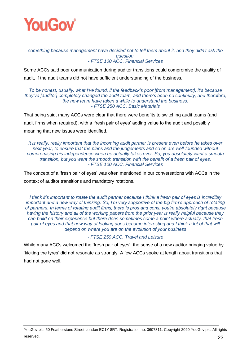

#### *something because management have decided not to tell them about it, and they didn't ask the question. - FTSE 100 ACC, Financial Services*

Some ACCs said poor communication during auditor transitions could compromise the quality of audit, if the audit teams did not have sufficient understanding of the business.

#### *To be honest, usually, what I've found, if the feedback's poor [from management], it's because they've [auditor] completely changed the audit team, and there's been no continuity, and therefore, the new team have taken a while to understand the business. - FTSE 250 ACC, Basic Materials*

That being said, many ACCs were clear that there were benefits to switching audit teams (and audit firms when required), with a 'fresh pair of eyes' adding value to the audit and possibly meaning that new issues were identified.

*It is really, really important that the incoming audit partner is present even before he takes over next year, to ensure that the plans and the judgements and so on are well-founded without compromising his independence when he actually takes over. So, you absolutely want a smooth transition, but you want the smooth transition with the benefit of a fresh pair of eyes. - FTSE 100 ACC, Financial Services*

The concept of a 'fresh pair of eyes' was often mentioned in our conversations with ACCs in the context of auditor transitions and mandatory rotations.

*I think it's important to rotate the audit partner because I think a fresh pair of eyes is incredibly important and a new way of thinking. So, I'm very supportive of the big firm's approach of rotating of partners. In terms of rotating audit firms, there is pros and cons, you're absolutely right because having the history and all of the working papers from the prior year is really helpful because they can build on their experience but there does sometimes come a point where actually, that fresh pair of eyes and that new way of looking does become interesting and I think a lot of that will depend on where you are on the evolution of your business*

## *- FTSE 250 ACC, Travel and Leisure*

While many ACCs welcomed the 'fresh pair of eyes', the sense of a new auditor bringing value by 'kicking the tyres' did not resonate as strongly. A few ACCs spoke at length about transitions that had not gone well.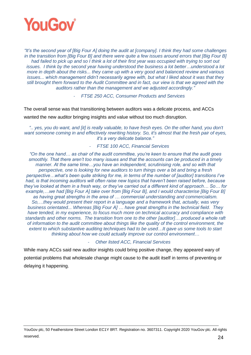

*"It's the second year of [Big Four A] doing the audit at [company]. I think they had some challenges in the transition from [Big Four B] and there were quite a few issues around errors that [Big Four B] had failed to pick up and so I think a lot of their first year was occupied with trying to sort out issues. I think by the second year having understood the business a lot better…understood a lot more in depth about the risks... they came up with a very good and balanced review and various issues... which management didn't necessarily agree with, but what I liked about it was that they still brought them forward to the Audit Committee and in fact, our view is that we agreed with the auditors rather than the management and we adjusted accordingly."*

- *FTSE 250 ACC, Consumer Products and Services*

The overall sense was that transitioning between auditors was a delicate process, and ACCs

wanted the new auditor bringing insights and value without too much disruption.

*".. yes, you do want, and [it] is really valuable, to have fresh eyes. On the other hand, you don't want someone coming in and effectively rewriting history. So, it's almost that the fresh pair of eyes, it's a very delicate balance."*

- *FTSE 100 ACC, Financial Services*

*"On the one hand… as chair of the audit committee, you're keen to ensure that the audit goes smoothly. That there aren't too many issues and that the accounts can be produced in a timely manner. At the same time…you have an independent, scrutinising role, and so with that perspective, one is looking for new auditors to turn things over a bit and bring a fresh perspective…what's been quite striking for me, in terms of the number of [auditor] transitions I've had, is that incoming auditors will often raise new topics that haven't been raised before, because they've looked at them in a fresh way, or they've carried out a different kind of approach… So… for example,…we had [Big Four A] take over from [Big Four B], and I would characterise [Big Four B] as having great strengths in the area of … commercial understanding and commercialism. So,…they would present their report in a language and a framework that, actually, was very business orientated... Whereas [Big Four A] … have great strengths in the technical field. They have tended, in my experience, to focus much more on technical accuracy and compliance with standards and other norms. The transition from one to the other [auditor]… produced a whole raft of information to the audit committee about things like the quality of the control environment, the extent to which substantive auditing techniques had to be used…It gave us some tools to start thinking about how we could actually improve our control environment…*

#### - *Other listed ACC, Financial Services*

While many ACCs said new auditor insights could bring positive change, they appeared wary of potential problems that wholesale change might cause to the audit itself in terms of preventing or delaying it happening.

YouGov plc, 50 Featherstone Street London EC1Y 8RT. Registration no. 3607311. Copyright 2020 YouGov plc. All rights reserved.  $24$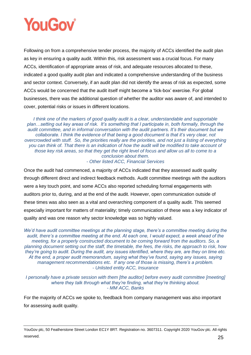

Following on from a comprehensive tender process, the majority of ACCs identified the audit plan as key in ensuring a quality audit. Within this, risk assessment was a crucial focus. For many ACCs, identification of appropriate areas of risk, and adequate resources allocated to these, indicated a good quality audit plan and indicated a comprehensive understanding of the business and sector context. Conversely, if an audit plan did not identify the areas of risk as expected, some ACCs would be concerned that the audit itself might become a 'tick-box' exercise. For global businesses, there was the additional question of whether the auditor was aware of, and intended to cover, potential risks or issues in different locations.

*I think one of the markers of good quality audit is a clear, understandable and supportable plan…setting out key areas of risk. It's something that I participate in, both formally, through the audit committee, and in informal conversation with the audit partners. It's their document but we collaborate. I think the evidence of that being a good document is that it's very clear, not overcrowded with stuff. So, the priorities really are the priorities, and not just a listing of everything you can think of. That there is an indication of how the audit will be modified to take account of those key risk areas, so that they get the right level of focus and allow us all to come to a conclusion about them. - Other listed ACC, Financial Services*

Once the audit had commenced, a majority of ACCs indicated that they assessed audit quality through different direct and indirect feedback methods. Audit committee meetings with the auditors were a key touch point, and some ACCs also reported scheduling formal engagements with auditors prior to, during, and at the end of the audit. However, open communication outside of these times was also seen as a vital and overarching component of a quality audit. This seemed especially important for matters of materiality; timely communication of these was a key indicator of quality and was one reason why sector knowledge was so highly valued.

*We'd have audit committee meetings at the planning stage, there's a committee meeting during the audit, there's a committee meeting at the end. At each one, I would expect, a week ahead of the meeting, for a properly constructed document to be coming forward from the auditors. So, a planning document setting out the staff, the timetable, the fees, the risks, the approach to risk, how they're going to audit. During the audit, any issues identified, where they are, are they on time etc. At the end, a proper audit memorandum, saying what they've found, saying any issues, saying management recommendations etc. If any one of those is missing, there's a problem. - Unlisted entity ACC, Insurance*

*I personally have a private session with them [the auditor] before every audit committee [meeting] where they talk through what they're finding, what they're thinking about. - MM ACC, Banks*

For the majority of ACCs we spoke to, feedback from company management was also important for assessing audit quality.

YouGov plc, 50 Featherstone Street London EC1Y 8RT. Registration no. 3607311. Copyright 2020 YouGov plc. All rights reserved.  $25$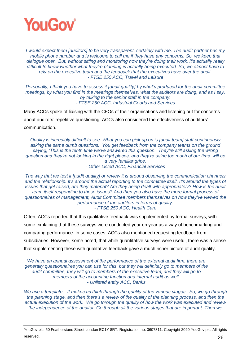

*I would expect them [auditors] to be very transparent, certainly with me. The audit partner has my mobile phone number and is welcome to call me if they have any concerns. So, we keep that dialogue open. But, without sitting and monitoring how they're doing their work, it's actually really difficult to know whether what they're planning is actually being executed. So, we almost have to rely on the executive team and the feedback that the executives have over the audit. - FTSE 250 ACC, Travel and Leisure*

*Personally, I think you have to assess it [audit quality] by what's produced for the audit committee meetings, by what you find in the meetings themselves, what the auditors are doing, and as I say, by talking to the senior staff in the company. - FTSE 250 ACC, Industrial Goods and Services*

Many ACCs spoke of liaising with the CFOs of their organisations and listening out for concerns about auditors' repetitive questioning. ACCs also considered the effectiveness of auditors' communication.

*Quality is incredibly difficult to see. What you can pick up on is [audit team] staff continuously asking the same dumb questions. You get feedback from the company teams on the ground saying, 'This is the tenth time we've answered this question. They're still asking the wrong question and they're not looking in the right places, and they're using too much of our time' will be a very familiar gripe.* 

*- Other Listed ACC, Financial Services*

*The way that we test it [audit quality] or review it is around observing the communication channels and the relationship. It's around the actual reporting to the committee itself. It's around the types of issues that get raised, are they material? Are they being dealt with appropriately? How is the audit team itself responding to these issues? And then you also have the more formal process of questionnaires of management, Audit Committee members themselves on how they've viewed the performance of the auditors in terms of quality. - FTSE 250 ACC, Health Care*

Often, ACCs reported that this qualitative feedback was supplemented by formal surveys, with some explaining that these surveys were conducted year on year as a way of benchmarking and comparing performance. In some cases, ACCs also mentioned requesting feedback from subsidiaries. However, some noted, that while quantitative surveys were useful, there was a sense that supplementing these with qualitative feedback gave a much richer picture of audit quality.

*We have an annual assessment of the performance of the external audit firm, there are generally questionnaires you can use for this, but they will definitely go to members of the audit committee, they will go to members of the executive team, and they will go to members of the accounting function and internal audit as well. - Unlisted entity ACC, Banks*

*We use a template…It makes us think through the quality at the various stages. So, we go through the planning stage, and then there's a review of the quality of the planning process, and then the actual execution of the work. We go through the quality of how the work was executed and review the independence of the auditor. Go through all the various stages that are important. Then we* 

YouGov plc, 50 Featherstone Street London EC1Y 8RT. Registration no. 3607311. Copyright 2020 YouGov plc. All rights reserved.  $26$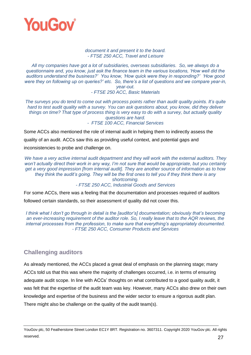

#### *document it and present it to the board. - FTSE 250 ACC, Travel and Leisure*

*All my companies have got a lot of subsidiaries, overseas subsidiaries. So, we always do a questionnaire and, you know, just ask the finance team in the various locations, 'How well did the auditors understand the business?' You know, 'How quick were they in responding?' 'How good were they on following up on queries?' etc. So, there's a list of questions and we compare year-in, year-out.*

*- FTSE 250 ACC, Basic Materials*

*The surveys you do tend to come out with process points rather than audit quality points. It's quite hard to test audit quality with a survey. You can ask questions about, you know, did they deliver things on time? That type of process thing is very easy to do with a survey, but actually quality questions are hard. - FTSE 100 ACC, Financial Services*

Some ACCs also mentioned the role of internal audit in helping them to indirectly assess the

quality of an audit. ACCs saw this as providing useful context, and potential gaps and

inconsistencies to probe and challenge on.

*We have a very active internal audit department and they will work with the external auditors. They won't actually direct their work in any way, I'm not sure that would be appropriate, but you certainly get a very good impression [from internal audit]. They are another source of information as to how they think the audit's going. They will be the first ones to tell you if they think there is any shortcoming. - FTSE 250 ACC, Industrial Goods and Services*

For some ACCs, there was a feeling that the documentation and processes required of auditors followed certain standards, so their assessment of quality did not cover this.

*I think what I don't go through in detail is the [auditor's] documentation; obviously that's becoming an ever-increasing requirement of the auditor role. So, I really leave that to the AQR reviews, the internal processes from the profession, to make sure that everything's appropriately documented. - FTSE 250 ACC, Consumer Products and Services*

# <span id="page-27-0"></span>**Challenging auditors**

As already mentioned, the ACCs placed a great deal of emphasis on the planning stage; many ACCs told us that this was where the majority of challenges occurred, i.e. in terms of ensuring adequate audit scope. In line with ACCs' thoughts on what contributed to a good quality audit, it was felt that the expertise of the audit team was key. However, many ACCs also drew on their own knowledge and expertise of the business and the wider sector to ensure a rigorous audit plan. There might also be challenge on the quality of the audit team(s).

YouGov plc, 50 Featherstone Street London EC1Y 8RT. Registration no. 3607311. Copyright 2020 YouGov plc. All rights reserved.  $27$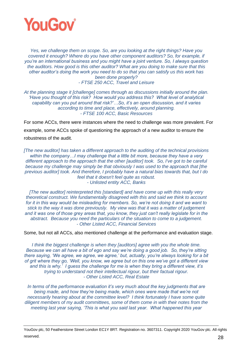

*Yes, we challenge them on scope. So, are you looking at the right things? Have you covered it enough? Where do you have other component auditors? So, for example, if you're an international business and you might have a joint venture. So, I always question the auditors. How good is this other auditor? What are you doing to make sure that this other auditor's doing the work you need to do so that you can satisfy us this work has been done properly? - FTSE 250 ACC, Travel and Leisure*

*At the planning stage it [challenge] comes through as discussions initially around the plan. 'Have you thought of this risk? How would you address this? What level of analytical capability can you put around that risk?'…So, it's an open discussion, and it varies according to time and place, effectively, around planning. - FTSE 100 ACC, Basic Resources*

For some ACCs, there were instances where the need to challenge was more prevalent. For example, some ACCs spoke of questioning the approach of a new auditor to ensure the robustness of the audit.

*[The new auditor] has taken a different approach to the auditing of the technical provisions within the company…I may challenge that a little bit more, because they have a very different approach to the approach that the other [auditor] took. So, I've got to be careful because my challenge may simply be that obviously I was used to the approach that [the previous auditor] took. And therefore, I probably have a natural bias towards that, but I do feel that it doesn't feel quite as robust. - Unlisted entity ACC, Banks*

*[The new auditor] reinterpreted this [standard] and have come up with this really very theoretical construct. We fundamentally disagreed with this and said we think to account for it in this way would be misleading for members. So, we're not doing it and we want to stick to the way it was done previously. My view was that it was a matter of judgement and it was one of those grey areas that, you know, they just can't really legislate for in the abstract. Because you need the particulars of the situation to come to a judgement. - Other Listed ACC, Financial Services*

Some, but not all ACCs, also mentioned challenge at the performance and evaluation stage.

*I think the biggest challenge is when they [auditors] agree with you the whole time. Because we can all have a bit of ego and say we're doing a good job. So, they're sitting there saying, 'We agree, we agree, we agree,' but, actually, you're always looking for a bit of grit where they go, 'Well, you know, we agree but on this one we've got a different view and this is why.' I guess the challenge for me is when they bring a different view, it's trying to understand not their intellectual rigour, but their factual rigour. - Other Listed ACC, Real Estate*

*In terms of the performance evaluation it's very much about the key judgments that are being made, and how they're being made, which ones were made that we're not necessarily hearing about at the committee level? I think fortunately I have some quite diligent members of my audit committees, some of them come in with their notes from the meeting last year saying, 'This is what you said last year. What happened this year* 

YouGov plc, 50 Featherstone Street London EC1Y 8RT. Registration no. 3607311. Copyright 2020 YouGov plc. All rights reserved. 28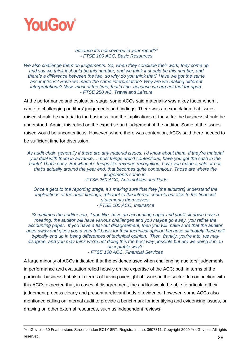

#### *because it's not covered in your report?' - FTSE 100 ACC, Basic Resources*

*We also challenge them on judgements. So, when they conclude their work, they come up and say we think it should be this number, and we think it should be this number, and there's a difference between the two, so why do you think that? Have we got the same assumptions? Have we made the same interpretation? Why are we making different interpretations? Now, most of the time, that's fine, because we are not that far apart. - FTSE 250 AC, Travel and Leisure*

At the performance and evaluation stage, some ACCs said materiality was a key factor when it came to challenging auditors' judgements and findings. There was an expectation that issues raised should be material to the business, and the implications of these for the business should be understood. Again, this relied on the expertise and judgement of the auditor. Some of the issues raised would be uncontentious. However, where there was contention, ACCs said there needed to be sufficient time for discussion.

*As audit chair, generally if there are any material issues, I'd know about them. If they're material you deal with them in advance… most things aren't contentious, have you got the cash in the bank? That's easy. But when it's things like revenue recognition, have you made a sale or not, that's actually around the year end, that becomes quite contentious. Those are where the judgements come in. - FTSE 250 ACC, Automobiles and Parts*

*Once it gets to the reporting stage, it's making sure that they [the auditors] understand the implications of the audit findings, relevant to the internal controls but also to the financial statements themselves. - FTSE 100 ACC, Insurance*

*Sometimes the auditor can, if you like, have an accounting paper and you'll sit down have a meeting, the auditor will have various challenges and you maybe go away, you refine the accounting paper. If you have a flat-out disagreement, then you will make sure that the auditor goes away and gives you a very full basis for their technical opinion because ultimately these will typically end up in being differences of technical opinion. Then, frankly, you're into, we may disagree, and you may think we're not doing this the best way possible but are we doing it in an acceptable way?' - FTSE 100 ACC, Financial Services*

A large minority of ACCs indicated that the evidence used when challenging auditors' judgements in performance and evaluation relied heavily on the expertise of the ACC; both in terms of the particular business but also in terms of having oversight of issues in the sector. In conjunction with this ACCs expected that, in cases of disagreement, the auditor would be able to articulate their judgement process clearly and present a relevant body of evidence; however, some ACCs also mentioned calling on internal audit to provide a benchmark for identifying and evidencing issues, or drawing on other external resources, such as independent reviews.

YouGov plc, 50 Featherstone Street London EC1Y 8RT. Registration no. 3607311. Copyright 2020 YouGov plc. All rights reserved. 29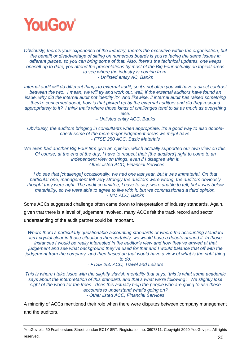

*Obviously, there's your experience of the industry, there's the executive within the organisation, but the benefit or disadvantage of sitting on numerous boards is you're facing the same issues in different places, so you can bring some of that. Also, there's the technical updates, one keeps oneself up to date, you attend the presentations by most of the Big Four actually on topical areas to see where the industry is coming from. - Unlisted entity AC, Banks*

*Internal audit will do different things to external audit, so it's not often you will have a direct contrast between the two. I mean, we will try and work out, well, if the external auditors have found an issue, why did the internal audit not identify it? And likewise, if internal audit has raised something they're concerned about, how is that picked up by the external auditors and did they respond appropriately to it? I think that's where those kinds of challenges tend to sit as much as everything else.* 

*– Unlisted entity ACC, Banks*

*Obviously, the auditors bringing in consultants when appropriate, it's a good way to also doublecheck some of the more major judgement areas we might have. - FTSE 250 ACC, Basic Materials*

*We even had another Big Four firm give an opinion, which actually supported our own view on this. Of course, at the end of the day, I have to respect their [the auditors'] right to come to an independent view on things, even if I disagree with it. - Other listed ACC, Financial Services*

*I do see that [challenge] occasionally, we had one last year, but it was immaterial. On that particular one, management felt very strongly the auditors were wrong, the auditors obviously thought they were right. The audit committee, I have to say, were unable to tell, but it was below materiality, so we were able to agree to live with it, but we commissioned a third opinion. - MM ACC, Banks*

Some ACCs suggested challenge often came down to interpretation of industry standards. Again, given that there is a level of judgement involved, many ACCs felt the track record and sector understanding of the audit partner could be important.

*Where there's particularly questionable accounting standards or where the accounting standard isn't crystal clear in those situations then certainly, we would have a debate around it. In those instances I would be really interested in the auditor's view and how they've arrived at that judgement and see what background they've used for that and I would balance that off with the judgement from the company, and then based on that would have a view of what is the right thing to do.* 

*- FTSE 250 ACC, Travel and Leisure*

*This is where I take issue with the slightly slavish mentality that says: 'this is what some academic says about the interpretation of this standard, and that's what we're following'. We slightly lose sight of the wood for the trees - does this actually help the people who are going to use these accounts to understand what's going on? - Other listed ACC, Financial Services*

A minority of ACCs mentioned their role when there were disputes between company management and the auditors.

YouGov plc, 50 Featherstone Street London EC1Y 8RT. Registration no. 3607311. Copyright 2020 YouGov plc. All rights reserved.  $30$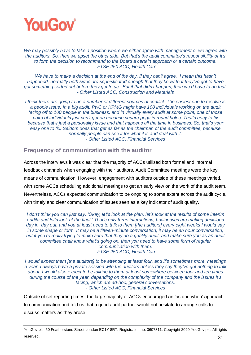

*We may possibly have to take a position where we either agree with management or we agree with the auditors. So, then we upset the other side. But that's the audit committee's responsibility or it's to form the decision to recommend to the Board a certain approach or a certain outcome. - FTSE 250 ACC, Health Care*

*We have to make a decision at the end of the day, if they can't agree. I mean this hasn't happened, normally both sides are sophisticated enough that they know that they've got to have got something sorted out before they get to us. But if that didn't happen, then we'd have to do that. - Other Listed ACC, Construction and Materials*

*I think there are going to be a number of different sources of conflict. The easiest one to resolve is a people issue. In a big audit, PwC or KPMG might have 100 individuals working on the audit facing off to 100 people in the business, and in virtually every audit at some point, one of those pairs of individuals just can't get on because square pegs in round holes. That's easy to fix because that's just a personality issue and that happens all the time in business. So, that's your easy one to fix. Seldom does that get as far as the chairman of the audit committee, because normally people can see it for what it is and deal with it. - Other Listed ACC, Financial Services*

## <span id="page-31-0"></span>**Frequency of communication with the auditor**

Across the interviews it was clear that the majority of ACCs utilised both formal and informal feedback channels when engaging with their auditors. Audit Committee meetings were the key means of communication. However, engagement with auditors outside of these meetings varied, with some ACCs scheduling additional meetings to get an early view on the work of the audit team. Nevertheless, ACCs expected communication to be ongoing to some extent across the audit cycle, with timely and clear communication of issues seen as a key indicator of audit quality.

*I don't think you can just say, 'Okay, let's look at the plan, let's look at the results of some interim audits and let's look at the final.' That's only three interactions, businesses are making decisions day in, day out, and you at least need to talk to them [the auditors] every eight weeks I would say in some shape or form. It may be a fifteen-minute conversation, it may be an hour conversation, but if you're really trying to make sure that they do a quality audit, and make sure you as an audit committee chair know what's going on, then you need to have some form of regular communication with them. - FTSE 250 ACC, Health Care*

*I would expect them [the auditors] to be attending at least four, and it's sometimes more, meetings a year. I always have a private session with the auditors unless they say they've got nothing to talk about. I would also expect to be talking to them at least somewhere between four and ten times during the course of the year, depending on the complexity of the company and the issues it's facing, which are ad-hoc, general conversations. - Other Listed ACC, Financial Services*

Outside of set reporting times, the large majority of ACCs encouraged an 'as and when' approach to communication and told us that a good audit partner would not hesitate to arrange calls to discuss matters as they arose.

YouGov plc, 50 Featherstone Street London EC1Y 8RT. Registration no. 3607311. Copyright 2020 YouGov plc. All rights reserved. 31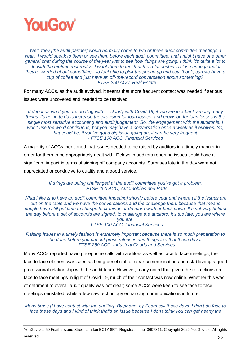

*Well, they [the audit partner] would normally come to two or three audit committee meetings a year. I would speak to them or see them before each audit committee, and I might have one other general chat during the course of the year just to see how things are going. I think it's quite a lot to*  do with the mutual trust really. I want them to feel that the relationship is close enough that if *they're worried about something…to feel able to pick the phone up and say, 'Look, can we have a cup of coffee and just have an off-the-record conversation about something?' - FTSE 250 ACC, Real Estate*

For many ACCs, as the audit evolved, it seems that more frequent contact was needed if serious issues were uncovered and needed to be resolved.

*It depends what you are dealing with … clearly with Covid-19, if you are in a bank among many things it's going to do is increase the provision for loan losses, and provision for loan losses is the single most sensitive accounting and audit judgement. So, the engagement with the auditor is, I won't use the word continuous, but you may have a conversation once a week as it evolves. So, that could be, if you've got a big issue going on, it can be very frequent. - FTSE 100 ACC, Financial Services*

A majority of ACCs mentioned that issues needed to be raised by auditors in a timely manner in order for them to be appropriately dealt with. Delays in auditors reporting issues could have a significant impact in terms of signing off company accounts. Surprises late in the day were not appreciated or conducive to quality and a good service.

> *If things are being challenged at the audit committee you've got a problem. - FTSE 250 ACC, Automobiles and Parts*

*What I like is to have an audit committee [meeting] shortly before year end where all the issues are out on the table and we have the conversations and the challenge then, because that means people have still got time to change their minds or do more work or back down. It's not very helpful the day before a set of accounts are signed, to challenge the auditors. It's too late, you are where you are.*

*- FTSE 100 ACC, Financial Services*

*Raising issues in a timely fashion is extremely important because there is so much preparation to be done before you put out press releases and things like that these days. - FTSE 250 ACC, Industrial Goods and Services*

Many ACCs reported having telephone calls with auditors as well as face to face meetings; the face to face element was seen as being beneficial for clear communication and establishing a good professional relationship with the audit team. However, many noted that given the restrictions on face to face meetings in light of Covid-19, much of their contact was now online. Whether this was of detriment to overall audit quality was not clear; some ACCs were keen to see face to face meetings reinstated, while a few saw technology enhancing communications in future.

*Many times [I have contact with the auditor]. By phone, by Zoom call these days. I don't do face to face these days and I kind of think that's an issue because I don't think you can get nearly the* 

YouGov plc, 50 Featherstone Street London EC1Y 8RT. Registration no. 3607311. Copyright 2020 YouGov plc. All rights reserved. 22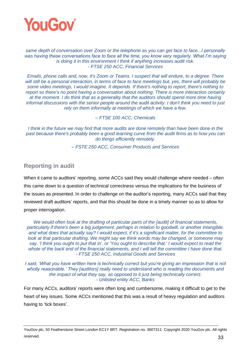

#### *same depth of conversation over Zoom or the telephone as you can get face to face...I personally*  was having these conversations face to face all the time, you know very regularly. What I'm saying *is doing it in this environment I think if anything increases audit risk. - FTSE 250 ACC, Financial Services*

*Emails, phone calls and, now, it's Zoom or Teams. I suspect that will endure, to a degree. There*  will still be a personal interaction, in terms of face to face meetings but, yes, there will probably be *some video meetings, I would imagine. It depends. If there's nothing to report, there's nothing to report so there's no point having a conversation about nothing. There is more interaction certainly at the moment. I do think that as a generality that the auditors should spend more time having informal discussions with the senior people around the audit activity. I don't think you need to just rely on them informally at meetings of which we have a few.*

### *– FTSE 100 ACC, Chemicals*

I think in the future we may find that more audits are done remotely than have been done in the *past because there's probably been a good learning curve from the audit firms as to how you can do things efficiently remotely.*

*– FSTE 250 ACC, Consumer Products and Services*

# <span id="page-33-0"></span>**Reporting in audit**

When it came to auditors' reporting, some ACCs said they would challenge where needed – often this came down to a question of technical correctness versus the implications for the business of the issues as presented. In order to challenge on the auditor's reporting, many ACCs said that they reviewed draft auditors' reports, and that this should be done in a timely manner so as to allow for proper interrogation.

*We would often look at the drafting of particular parts of the [audit] of financial statements, particularly if there's been a big judgement, perhaps in relation to goodwill, or another intangible, and what does that actually say? I would expect, if it's a significant matter, for the committee to look at that particular drafting. We might say we think words may be changed, or someone may say, 'I think you ought to put that in', or 'You ought to describe that.' I would expect to read the whole of the back end of the financial statements, and I will tell the committee I have done that. - FTSE 250 ACC, Industrial Goods and Services*

*I* said, 'What you have written here is technically correct but you're giving an impression that is not *wholly reasonable.' They [auditors] really need to understand who is reading the documents and the impact of what they say, as opposed to it just being technically correct. - Unlisted entity ACC, Banks*

For many ACCs, auditors' reports were often long and cumbersome, making it difficult to get to the heart of key issues. Some ACCs mentioned that this was a result of heavy regulation and auditors having to 'tick boxes'.

YouGov plc, 50 Featherstone Street London EC1Y 8RT. Registration no. 3607311. Copyright 2020 YouGov plc. All rights reserved. 23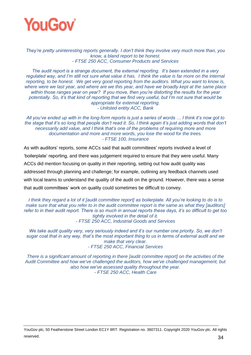

*They're pretty uninteresting reports generally. I don't think they involve very much more than, you know, a bland report to be honest. - FTSE 250 ACC, Consumer Products and Services*

*The audit report is a strange document, the external reporting. It's been extended in a very regulated way, and I'm still not sure what value it has. I think the value is far more on the internal reporting, to be honest. We get very good reporting from the auditors. What you want to know is, where were we last year, and where are we this year, and have we broadly kept at the same place within those ranges year on year? If you move, then you're distorting the results for the year potentially. So, it's that kind of reporting that we find very useful, but I'm not sure that would be appropriate for external reporting. - Unlisted entity ACC, Bank*

*All you've ended up with in the long-form reports is just a series of words … I think it's now got to the stage that it's so long that people don't read it. So, I think again it's just adding words that don't necessarily add value, and I think that's one of the problems of requiring more and more documentation and more and more words, you lose the wood for the trees. - FTSE 100, Insurance*

As with auditors' reports, some ACCs said that audit committees' reports involved a level of 'boilerplate' reporting, and there was judgement required to ensure that they were useful. Many ACCs did mention focusing on quality in their reporting, setting out how audit quality was addressed through planning and challenge; for example, outlining any feedback channels used with local teams to understand the quality of the audit on the ground. However, there was a sense that audit committees' work on quality could sometimes be difficult to convey.

*I think they regard a lot of it [audit committee report] as boilerplate. All you're looking to do is to make sure that what you refer to in the audit committee report is the same as what they [auditors] refer to in their audit report. There is so much in annual reports these days, it's so difficult to get too tightly involved in the detail of it. - FTSE 250 ACC, Industrial Goods and Services*

*We take audit quality very, very seriously indeed and it's our number one priority. So, we don't sugar coat that in any way, that's the most important thing to us in terms of external audit and we make that very clear. - FTSE 250 ACC, Financial Services*

*There is a significant amount of reporting in there [audit committee report] on the activities of the Audit Committee and how we've challenged the auditors, how we've challenged management, but also how we've assessed quality throughout the year. - FTSE 250 ACC, Health Care*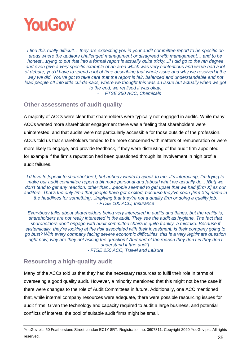

*I find this really difficult… they are expecting you in your audit committee report to be specific on areas where the auditors challenged management or disagreed with management… and to be honest…trying to put that into a formal report is actually quite tricky...if I did go to the nth degree and even give a very specific example of an area which was very contentious and we've had a lot of debate, you'd have to spend a lot of time describing that whole issue and why we resolved it the way we did. You've got to take care that the report is fair, balanced and understandable and not*  lead people off into little cul-de-sacs, where we thought this was an issue but actually when we got *to the end, we realised it was okay.* - *FTSE 250 ACC, Chemicals*

## <span id="page-35-0"></span>**Other assessments of audit quality**

A majority of ACCs were clear that shareholders were typically not engaged in audits. While many ACCs wanted more shareholder engagement there was a feeling that shareholders were uninterested, and that audits were not particularly accessible for those outside of the profession. ACCs told us that shareholders tended to be more concerned with matters of remuneration or were more likely to engage, and provide feedback, if they were distrusting of the audit firm appointed – for example if the firm's reputation had been questioned through its involvement in high profile audit failures.

*I'd love to [speak to shareholders], but nobody wants to speak to me. It's interesting, I'm trying to make our audit committee report a bit more personal and [about] what we actually do... [But] we don't tend to get any reaction, other than…people seemed to get upset that we had [firm X] as our auditors. That's the only time that people have got excited, because they've seen [firm X's] name in the headlines for something…implying that they're not a quality firm or doing a quality job. - FTSE 100 ACC, Insurance*

*Everybody talks about shareholders being very interested in audits and things, but the reality is, shareholders are not really interested in the audit. They see the audit as hygiene. The fact that shareholders don't engage with audit committee chairs is quite frankly, a mistake. Because if systemically, they're looking at the risk associated with their investment, is their company going to go bust? With every company facing severe economic difficulties, this is a very legitimate question*  right now, why are they not asking the question? And part of the reason they don't is they don't *understand it [the audit].*

*- FTSE 250 ACC, Travel and Leisure*

# <span id="page-35-1"></span>**Resourcing a high-quality audit**

Many of the ACCs told us that they had the necessary resources to fulfil their role in terms of overseeing a good quality audit. However, a minority mentioned that this might not be the case if there were changes to the role of Audit Committees in future. Additionally, one ACC mentioned that, while internal company resources were adequate, there were possible resourcing issues for audit firms. Given the technology and capacity required to audit a large business, and potential conflicts of interest, the pool of suitable audit firms might be small.

YouGov plc, 50 Featherstone Street London EC1Y 8RT. Registration no. 3607311. Copyright 2020 YouGov plc. All rights reserved. 25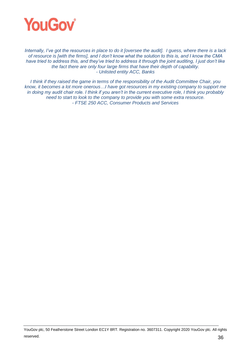

*Internally, I've got the resources in place to do it [oversee the audit]. I guess, where there is a lack of resource is [with the firms], and I don't know what the solution to this is, and I know the CMA have tried to address this, and they've tried to address it through the joint auditing, I just don't like the fact there are only four large firms that have their depth of capability. - Unlisted entity ACC, Banks*

*I think if they raised the game in terms of the responsibility of the Audit Committee Chair, you know, it becomes a lot more onerous…I have got resources in my existing company to support me in doing my audit chair role. I think if you aren't in the current executive role, I think you probably need to start to look to the company to provide you with some extra resource. - FTSE 250 ACC, Consumer Products and Services*

YouGov plc, 50 Featherstone Street London EC1Y 8RT. Registration no. 3607311. Copyright 2020 YouGov plc. All rights reserved. 36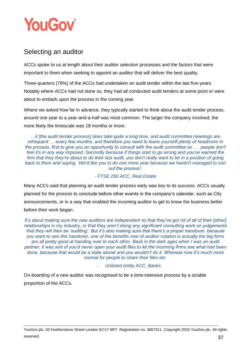

# Selecting an auditor

ACCs spoke to us at length about their auditor selection processes and the factors that were important to them when seeking to appoint an auditor that will deliver the best quality.

Three-quarters (76%) of the ACCs had undertaken an audit tender within the last five-years. Notably where ACCs had not done so, they had all conducted audit tenders at some point or were about to embark upon the process in the coming year.

Where we asked how far in advance, they typically started to think about the audit tender process, around one year to a year-and-a-half was most common. The larger the company involved, the more likely the timescale was 18 months or more.

*…it [the audit tender process] does take quite a long time, and audit committee meetings are infrequent … every few months, and therefore you need to leave yourself plenty of headroom in the process, first to give you an opportunity to consult with the audit committee so … people don't feel it's in any way imposed. Secondly because if things start to go wrong and you've warned the firm that they they're about to do their last audit, you don't really want to be in a position of going back to them and saying, 'We'd like you to do one more year because we haven't managed to sort out the process'.*

## *- FTSE 250 ACC, Real Estate*

Many ACCs said that planning an audit tender process early was key to its success. ACCs usually planned for the process to conclude before other events in the company's calendar, such as City announcements, or in a way that enabled the incoming auditor to get to know the business better before their work began.

*It's about making sure the new auditors are independent so that they've got rid of all of their [other] relationships in my industry, or that they aren't doing any significant consulting work on judgements that they will then be 'auditing'. But it's also making sure that there's a proper handover, because you want to see this handover, one of the benefits now of auditor rotation is actually the big firms are all pretty good at handing over to each other. Back in the dark ages when I was an audit partner, it was sort of you'd never open your audit files to let the incoming firms see what had been done, because that would be a state secret and you wouldn't do it. Whereas now it's much more normal for people to share their files etc.*

# - *Unlisted entity ACC, Banks*

On-boarding of a new auditor was recognised to be a time-intensive process by a sizable proportion of the ACCs.

YouGov plc, 50 Featherstone Street London EC1Y 8RT. Registration no. 3607311. Copyright 2020 YouGov plc. All rights reserved.  $37$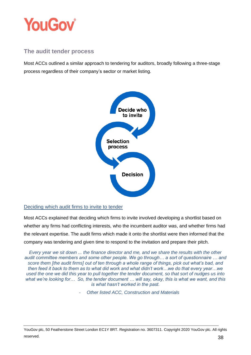

# **The audit tender process**

Most ACCs outlined a similar approach to tendering for auditors, broadly following a three-stage process regardless of their company's sector or market listing.



Deciding which audit firms to invite to tender

Most ACCs explained that deciding which firms to invite involved developing a shortlist based on whether any firms had conflicting interests, who the incumbent auditor was, and whether firms had the relevant expertise. The audit firms which made it onto the shortlist were then informed that the company was tendering and given time to respond to the invitation and prepare their pitch.

*Every year we sit down ... the finance director and me, and we share the results with the other audit committee members and some other people. We go through… a sort of questionnaire … and score them [the audit firms] out of ten through a whole range of things, pick out what's bad, and then feed it back to them as to what did work and what didn't work…we do that every year…we used the one we did this year to pull together the tender document, so that sort of nudges us into what we're looking for… So, the tender document … will say, okay, this is what we want, and this is what hasn't worked in the past.*

- *Other listed ACC, Construction and Materials*

YouGov plc, 50 Featherstone Street London EC1Y 8RT. Registration no. 3607311. Copyright 2020 YouGov plc. All rights reserved. **38**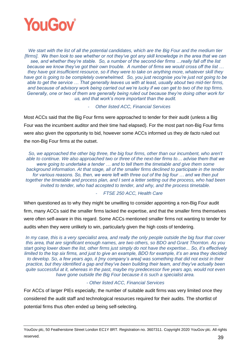

*We start with the list of all the potential candidates, which are the Big Four and the medium tier [firms]. We then look to see whether or not they've got any skill knowledge in the area that we can see, and whether they're stable. So, a number of the second-tier firms …really fall off the list because we know they've got their own trouble. A number of firms we would cross off the list … they have got insufficient resource, so if they were to take on anything more, whatever skill they have got is going to be completely overwhelmed. So, you just recognise you're just not going to be able to get the service … That generally leaves us with at least, usually about two mid-tier firms, and because of advisory work being carried out we're lucky if we can get to two of the top firms. Generally, one or two of them are generally being ruled out because they're doing other work for us, and that work's more important than the audit.* 

- *Other listed ACC, Financial Services*

Most ACCs said that the Big Four firms were approached to tender for their audit (unless a Big Four was the incumbent auditor and their time had elapsed). For the most part non-Big Four firms were also given the opportunity to bid, however some ACCs informed us they *de facto* ruled out the non-Big Four firms at the outset.

*So, we approached the other big three, the big four firms, other than our incumbent, who aren't able to continue. We also approached two or three of the next-tier firms to… advise them that we were going to undertake a tender … and to tell them the timetable and give them some background information. At that stage, all of the smaller firms declined to participate in the tender for various reasons. So, then, we were left with three out of the big four … and we then put together the timetable and process plan, and I sent a letter setting out the process, who had been invited to tender, who had accepted to tender, and why, and the process timetable.*

#### - *FTSE 250 ACC, Health Care*

When questioned as to why they might be unwilling to consider appointing a non-Big Four audit firm, many ACCs said the smaller firms lacked the expertise, and that the smaller firms themselves were often self-aware in this regard. Some ACCs mentioned smaller firms not wanting to tender for audits when they were unlikely to win, particularly given the high costs of tendering.

*In my case, this is a very specialist area, and really the only people outside the big four that cover this area, that are significant enough names, are two others, so BDO and Grant Thornton. As you start going lower down the list, other firms just simply do not have the expertise... So, it's effectively limited to the top six firms, and just to give an example, BDO for example, it's an area they decided to develop. So, a few years ago, it [my company's area] was something that did not exist in their practice, but they identified a gap and they've been building their team, and they've actually been quite successful at it, whereas in the past, maybe my predecessor five years ago, would not even have gone outside the Big Four because it is such a specialist area.* 

#### *- Other listed ACC, Financial Services*

For ACCs of larger PIEs especially, the number of suitable audit firms was very limited once they considered the audit staff and technological resources required for their audits. The shortlist of potential firms thus often ended up being self-selecting.

YouGov plc, 50 Featherstone Street London EC1Y 8RT. Registration no. 3607311. Copyright 2020 YouGov plc. All rights reserved. 29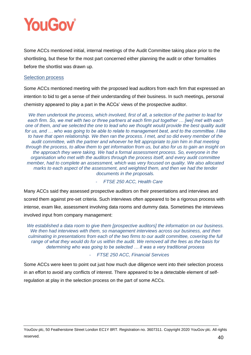

Some ACCs mentioned initial, internal meetings of the Audit Committee taking place prior to the shortlisting, but these for the most part concerned either planning the audit or other formalities before the shortlist was drawn up.

#### Selection process

Some ACCs mentioned meeting with the proposed lead auditors from each firm that expressed an intention to bid to get a sense of their understanding of their business. In such meetings, personal chemistry appeared to play a part in the ACCs' views of the prospective auditor.

*We then undertook the process, which involved, first of all, a selection of the partner to lead for each firm. So, we met with two or three partners at each firm put together … [we] met with each one of them, and we selected the one to lead who we thought would provide the best quality audit for us, and … who was going to be able to relate to management best, and to the committee. I like to have that open relationship. We then ran the process. I met, and so did every member of the audit committee, with the partner and whoever he felt appropriate to join him in that meeting through the process, to allow them to get information from us, but also for us to gain an insight on the approach they were taking. We had a formal assessment process. So, everyone in the organisation who met with the auditors through the process itself, and every audit committee member, had to complete an assessment, which was very focused on quality. We also allocated marks to each aspect of the assessment, and weighted them, and then we had the tender documents in the proposals.*

#### - *FTSE 250 ACC, Health Care*

Many ACCs said they assessed prospective auditors on their presentations and interviews and scored them against pre-set criteria. Such interviews often appeared to be a rigorous process with intense, exam like, assessment involving data rooms and dummy data. Sometimes the interviews involved input from company management:

*We established a data room to give them [prospective auditors] the information on our business. We then had interviews with them, so management interviews across our business, and then culminating in presentations from each of the two firms to our audit committee, covering the full range of what they would do for us within the audit. We removed all the fees as the basis for determining who was going to be selected … it was a very traditional process*

#### - *FTSE 250 ACC, Financial Services*

Some ACCs were keen to point out just how much due diligence went into their selection process in an effort to avoid any conflicts of interest. There appeared to be a detectable element of selfregulation at play in the selection process on the part of some ACCs.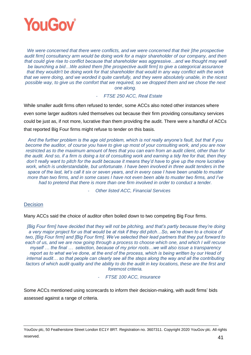

*We were concerned that there were conflicts, and we were concerned that their [the prospective audit firm] consultancy arm would be doing work for a major shareholder of our company, and then that could give rise to conflict because that shareholder was aggressive…and we thought may well be launching a bid…We asked them [the prospective audit firm] to give a categorical assurance that they wouldn't be doing work for that shareholder that would in any way conflict with the work that we were doing, and we worded it quite carefully, and they were absolutely unable, in the nicest possible way, to give us the comfort that we required, so we dropped them and we chose the next one along.*

#### - *FTSE 250 ACC, Real Estate*

While smaller audit firms often refused to tender, some ACCs also noted other instances where even some larger auditors ruled themselves out because their firm providing consultancy services could be just as, if not more, lucrative than them providing the audit. There were a handful of ACCs that reported Big Four firms might refuse to tender on this basis.

*And the further problem is the age old problem, which is not really anyone's fault, but that if you become the auditor, of course you have to give up most of your consulting work, and you are now restricted as to the maximum amount of fees that you can earn from an audit client, other than for the audit. And so, if a firm is doing a lot of consulting work and earning a tidy fee for that, then they don't really want to pitch for the audit because it means they'd have to give up the more lucrative work, which is understandable, but unfortunate. I have been involved in three audit tenders in the space of the last, let's call it six or seven years, and in every case I have been unable to muster more than two firms, and in some cases I have not even been able to muster two firms, and I've had to pretend that there is more than one firm involved in order to conduct a tender.*

- *Other listed ACC, Financial Services*

#### **Decision**

Many ACCs said the choice of auditor often boiled down to two competing Big Four firms.

*[Big Four firm] have decided that they will not be pitching, and that's partly because they're doing a very major project for us that would be at risk if they did pitch…So, we're down to a choice of two, [Big Four firm] and [Big Four firm]. We've selected their lead partners that they put forward to each of us, and we are now going through a process to choose which one, and which I will recuse myself … the final … selection, because of my prior roots…we will also issue a transparency report as to what we've done, at the end of the process, which is being written by our Head of internal audit… so that people can clearly see all the steps along the way and all the contributing*  factors of which audit quality and the ability to do the audit in key locations, these are the first and *foremost criteria.*

#### - *FTSE 100 ACC, Insurance*

Some ACCs mentioned using scorecards to inform their decision-making, with audit firms' bids assessed against a range of criteria.

YouGov plc, 50 Featherstone Street London EC1Y 8RT. Registration no. 3607311. Copyright 2020 YouGov plc. All rights reserved.  $41$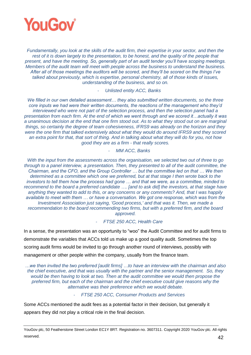

*Fundamentally, you look at the skills of the audit firm, their expertise in your sector, and then the rest of it is down largely to the presentation, to be honest, and the quality of the people that present, and have the meeting. So, generally part of an audit tender you'll have scoping meetings. Members of the audit team will meet with people across the business to understand the business. After all of those meetings the auditors will be scored, and they'll be scored on the things I've talked about previously, which is expertise, personal chemistry, all of those kinds of issues, understanding of the business, and so on.*

- *Unlisted entity ACC, Banks*

*We filled in our own detailed assessment… they also submitted written documents, so the three core inputs we had were their written documents, the reactions of the management who they'd interviewed who were not part of the selection process, and then the selection panel had a presentation from each firm. At the end of which we went through and we scored it…actually it was a unanimous decision at the end that one firm stood out. As to what they stood out on are marginal things, so certainly the degree of team cohesiveness, IFRS9 was already on the horizon and they were the one firm that talked extensively about what they would do around IFRS9 and they scored an extra point for that, that sort of thing. And in talking about what they will do for you, not how good they are as a firm - that really scores.*

#### - *MM ACC, Banks*

*With the input from the assessments across the organisation, we selected two out of three to go through to a panel interview, a presentation. Then, they presented to all of the audit committee, the Chairman, and the CFO, and the Group Controller … but the committee led on that … We then determined as a committee which one we preferred, but at that stage I then wrote back to the investors to tell them how the process had gone … and that we were, as a committee, minded to recommend to the board a preferred candidate …. [and to ask did] the investors, at that stage have anything they wanted to add to this, or any concerns or any comments? And, that I was happily available to meet with them … or have a conversation. We got one response, which was from the Investment Association just saying, 'Good process,' and that was it. Then, we made a recommendation to the board recommending two firms, but with a preferred firm, and the board approved.*

- *FTSE 250 ACC, Health Care*

In a sense, the presentation was an opportunity to "woo" the Audit Committee and for audit firms to demonstrate the variables that ACCs told us make up a good quality audit. Sometimes the top scoring audit firms would be invited to go through another round of interviews, possibly with management or other people within the company, usually from the finance team.

*…we then invited the two preferred [audit firms] …to have an interview with the chairman and also the chief executive, and that was usually with the partner and the senior management. So, they would be then having to look at two. Then at the audit committee we would then propose the preferred firm, but each of the chairman and the chief executive could give reasons why the alternative was their preference which we would debate.*

- *FTSE 250 ACC, Consumer Products and Services*

Some ACCs mentioned the audit fees as a potential factor in their decision, but generally it appears they did not play a critical role in the final decision.

YouGov plc, 50 Featherstone Street London EC1Y 8RT. Registration no. 3607311. Copyright 2020 YouGov plc. All rights reserved.  $42$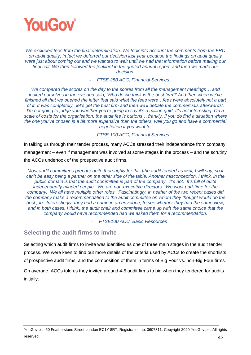

*We excluded fees from the final determination. We took into account the comments from the FRC on audit quality, in fact we deferred our decision last year because the findings on audit quality were just about coming out and we wanted to wait until we had that information before making our final call. We then followed the [outline] in the quoted annual report, and then we made our decision.*

- *FTSE 250 ACC, Financial Services*

*We compared the scores on the day to the scores from all the management meetings… and looked ourselves in the eye and said, 'Who do we think is the best firm?' And then when we've*  finished all that we opened the letter that said what the fees were...fees were absolutely not a part *of it. It was completely, 'let's get the best firm and then we'll debate the commercials afterwards'. I'm not going to judge you whether you're going to say it's a million quid. It's not interesting. On a scale of costs for the organisation, the audit fee is buttons… frankly, if you do find a situation where the one you've chosen is a bit more expensive than the others, well you go and have a commercial negotiation if you want to.*

- *FTSE 100 ACC, Financial Services*

In talking us through their tender process, many ACCs stressed their independence from company management – even if management was involved at some stages in the process – and the scrutiny the ACCs undertook of the prospective audit firms.

*Most audit committees prepare quite thoroughly for this [the audit tender] as well, I will say, so it can't be easy being a partner on the other side of the table. Another misconception, I think, in the public domain is that the audit committee is part of the company. It's not. It's full of quite independently minded people. We are non-executive directors. We work part-time for the company. We all have multiple other roles. Fascinatingly, in neither of the two recent cases did the company make a recommendation to the audit committee on whom they thought would do the best job. Interestingly, they had a name in an envelope, to see whether they had the same view, and in both cases, I think, the audit chair and committee came up with the same choice that the company would have recommended had we asked them for a recommendation.*

- *FTSE100 ACC, Basic Resources*

# **Selecting the audit firms to invite**

Selecting which audit firms to invite was identified as one of three main stages in the audit tender process. We were keen to find out more details of the criteria used by ACCs to create the shortlists of prospective audit firms, and the composition of them in terms of Big Four vs. non-Big Four firms.

On average, ACCs told us they invited around 4-5 audit firms to bid when they tendered for audits initially.

YouGov plc, 50 Featherstone Street London EC1Y 8RT. Registration no. 3607311. Copyright 2020 YouGov plc. All rights reserved.  $43$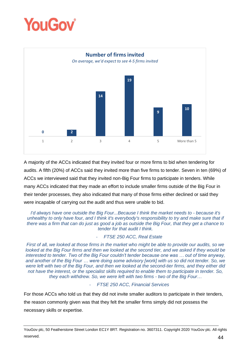



A majority of the ACCs indicated that they invited four or more firms to bid when tendering for audits. A fifth (20%) of ACCs said they invited more than five firms to tender. Seven in ten (69%) of ACCs we interviewed said that they invited non-Big Four firms to participate in tenders. While many ACCs indicated that they made an effort to include smaller firms outside of the Big Four in their tender processes, they also indicated that many of those firms either declined or said they were incapable of carrying out the audit and thus were unable to bid.

*I'd always have one outside the Big Four...Because I think the market needs to - because it's unhealthy to only have four, and I think it's everybody's responsibility to try and make sure that if there was a firm that can do just as good a job as outside the Big Four, that they get a chance to tender for that audit I think.*

#### - *FTSE 250 ACC, Real Estate*

*First of all, we looked at those firms in the market who might be able to provide our audits, so we*  looked at the Big Four firms and then we looked at the second tier, and we asked if they would be *interested to tender. Two of the Big Four couldn't tender because one was … out of time anyway, and another of the Big Four … were doing some advisory [work] with us so did not tender. So, we were left with two of the Big Four, and then we looked at the second-tier firms, and they either did not have the interest, or the specialist skills required to enable them to participate in tender. So, they each withdrew. So, we were left with two firms - two of the Big Four…*

#### - *FTSE 250 ACC, Financial Services*

For those ACCs who told us that they did not invite smaller auditors to participate in their tenders, the reason commonly given was that they felt the smaller firms simply did not possess the necessary skills or expertise.

YouGov plc, 50 Featherstone Street London EC1Y 8RT. Registration no. 3607311. Copyright 2020 YouGov plc. All rights reserved.  $44$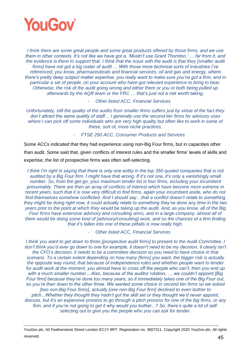

*I think there are some great people and some great products offered by those firms, and we use them in other contexts. It's not like we have got a, 'Mustn't use Grant Thornton,' … far from it, and the evidence is there to support that. I think that the issue with the audit is that they [smaller audit firms] have not got a big roster of audit … With those more technical sorts of industries I've referenced, you know, pharmaceuticals and financial services, oil and gas and energy, where there's pretty deep subject matter expertise, you really want to make sure you've got a firm, and in particular a set of people, on your account who have got relevant experience to bring to bear. Otherwise, the risk of the audit going wrong and either them or you or both being pulled up afterwards by the AQR team or the FRC … that's just not a risk worth taking.*

- *Other listed ACC, Financial Services*

*Unfortunately, still the quality of the audits from smaller firms suffers just by virtue of the fact they don't attract the same quality of staff… I generally use the second-tier firms for advisory uses where I can pick off some individuals who are very high quality but often like to work in some of these, sort of, more niche practices.*

- *FTSE 250 ACC, Consumer Products and Services*

Some ACCs indicated that they had experience using non-Big Four firms, but in capacities other than audit. Some said that, given conflicts of interest rules and the smaller firms' levels of skills and expertise, the list of prospective firms was often self-selecting.

*I think I'm right in saying that there is only one entity in the top 350 quoted companies that is not audited by a Big Four firm. I might have that wrong. If it's not one, it's only a vanishingly small number. So, from the get-go, your maximum tender list is four firms, including your incumbent presumably. There are then an array of conflicts of interest which have become more extreme in recent years, such that it is now very difficult to find firms, again your incumbent aside, who do not find themselves somehow conflicted. And I should say…that a conflict doesn't relate to something they might be doing right now, it could actually relate to something they've done any time in the two years prior to the point at which they would be taking up the audit. And, as you know, all of the Big Four firms have extensive advisory and consulting arms, and in a large company, almost all of them would be doing some kind of [advisory/consulting] work, and so the chances of a firm finding that it's fallen into one of these pitfalls is now really high.*

- *Other listed ACC, Financial Services*

*I think you want to get down to three [prospective audit firms] to present to the Audit Committee, I don't think you'd ever go down to one for example, it doesn't need to be my decision, it clearly isn't the CFO's decision, it needs to be a committee decision so you need to have choice in that scenario. To a certain extent depending on how many [firms] you want, the bigger risk is actually the opposite way round, that because of independence rules and whether people want to tender for audit work at the moment, you almost have to cross off the people who can't, then you end up with a much smaller number....Also, because of the auditor rotation, … we couldn't appoint [Big Four firm] because they've done too many years, so it immediately takes one of the Big Four out, so you're then down to the other three. We wanted some choice in second tier firms so we asked [two non-Big Four firms], actually [one non-Big Four firm] declined to even bother to pitch...Whether they thought they hadn't got the skill set or they thought we'd never appoint, discuss, but it's an expensive process to go through a pitch process for one of the big firms, or any firm, and if you're not going to get it why would you bother...? So, there's quite a lot of selfselecting out to give you the people who you can ask for tender.*

YouGov plc, 50 Featherstone Street London EC1Y 8RT. Registration no. 3607311. Copyright 2020 YouGov plc. All rights reserved.  $45$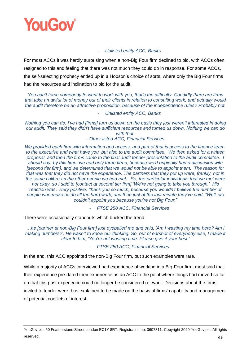

#### - *Unlisted entity ACC, Banks*

For most ACCs it was hardly surprising when a non-Big Four firm declined to bid, with ACCs often resigned to this and feeling that there was not much they could do in response. For some ACCs, the self-selecting prophecy ended up in a Hobson's choice of sorts, where only the Big Four firms had the resources and inclination to bid for the audit.

*You can't force somebody to want to work with you, that's the difficulty. Candidly there are firms that take an awful lot of money out of their clients in relation to consulting work, and actually would the audit therefore be an attractive proposition, because of the independence rules? Probably not.*

#### - *Unlisted entity ACC, Banks*

*Nothing you can do. I've had [firms] turn us down on the basis they just weren't interested in doing our audit. They said they didn't have sufficient resources and turned us down. Nothing we can do with that.*

*- Other listed ACC, Financial Services*

*We provided each firm with information and access, and part of that is access to the finance team, to the executive and what have you, but also to the audit committee. We then asked for a written proposal, and then the firms came to the final audit tender presentation to the audit committee. I should say, by this time, we had only three firms, because we'd originally had a discussion with [second tier firm], and we determined that we would not be able to appoint them. The reason for that was that they did not have the experience. The partners that they put up were, frankly, not in the same calibre as the other people we had met…So, the particular individuals that we met were not okay, so I said to [contact at second tier firm] 'We're not going to take you through.' His reaction was…very positive, 'thank you so much, because you wouldn't believe the number of people who make us do all the hard work, and then just at the last minute they've said, "Well, we couldn't appoint you because you're not Big Four."*

- *FTSE 250 ACC, Financial Services*

There were occasionally standouts which bucked the trend.

*…he [partner at non-Big Four firm] just eyeballed me and said, 'Am I wasting my time here? Am I making numbers?'. He wasn't to know our thinking. So, out of earshot of everybody else, I made it clear to him, 'You're not wasting time. Please give it your best.'* 

- *FTSE 250 ACC, Financial Services*

In the end, this ACC appointed the non-Big Four firm, but such examples were rare.

While a majority of ACCs interviewed had experience of working in a Big-Four firm, most said that their experience pre-dated their experience as an ACC to the point where things had moved so far on that this past experience could no longer be considered relevant. Decisions about the firms invited to tender were thus explained to be made on the basis of firms' capability and management of potential conflicts of interest.

YouGov plc, 50 Featherstone Street London EC1Y 8RT. Registration no. 3607311. Copyright 2020 YouGov plc. All rights reserved.  $46$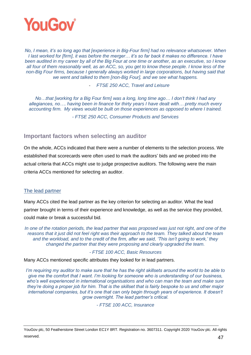

*No, I mean, it's so long ago that [experience in Big-Four firm] had no relevance whatsoever. When I last worked for [firm], it was before the merger… it's so far back it makes no difference. I have been audited in my career by all of the Big Four at one time or another, as an executive, so I know all four of them reasonably well, as an ACC, so, you get to know these people. I know less of the non-Big Four firms, because I generally always worked in large corporations, but having said that we went and talked to them [non-Big Four], and we see what happens.*

- *FTSE 250 ACC, Travel and Leisure*

*No…that [working for a Big Four firm] was a long, long time ago… I don't think I had any allegiances, no…. having been in finance for thirty years I have dealt with… pretty much every accounting firm. My views would be built on those experiences as opposed to where I trained.* 

*- FTSE 250 ACC, Consumer Products and Services*

# **Important factors when selecting an auditor**

On the whole, ACCs indicated that there were a number of elements to the selection process. We established that scorecards were often used to mark the auditors' bids and we probed into the actual criteria that ACCs might use to judge prospective auditors. The following were the main criteria ACCs mentioned for selecting an auditor.

# The lead partner

Many ACCs cited the lead partner as the key criterion for selecting an auditor. What the lead partner brought in terms of their experience and knowledge, as well as the service they provided, could make or break a successful bid.

*In one of the rotation periods, the lead partner that was proposed was just not right, and one of the reasons that it just did not feel right was their approach to the team. They talked about the team and the workload, and to the credit of the firm, after we said, 'This isn't going to work,' they changed the partner that they were proposing and clearly upgraded the team.*

*- FTSE 100 ACC, Basic Resources*

Many ACCs mentioned specific attributes they looked for in lead partners.

*I'm requiring my auditor to make sure that he has the right skillsets around the world to be able to give me the comfort that I want. I'm looking for someone who is understanding of our business, who's well experienced in international organisations and who can man the team and make sure they're doing a proper job for him. That is the skillset that is fairly bespoke to us and other major international companies, but it's one that can only begin through years of experience. It doesn't grow overnight. The lead partner's critical.* 

*- FTSE 100 ACC, Insurance*

YouGov plc, 50 Featherstone Street London EC1Y 8RT. Registration no. 3607311. Copyright 2020 YouGov plc. All rights reserved.  $47$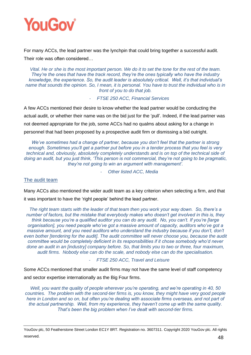

For many ACCs, the lead partner was the lynchpin that could bring together a successful audit. Their role was often considered…

*Vital. He or she is the most important person. We do it to set the tone for the rest of the team. They're the ones that have the track record, they're the ones typically who have the industry knowledge, the experience. So, the audit leader is absolutely critical. Well, it's that individual's name that sounds the opinion. So, I mean, it is personal. You have to trust the individual who is in front of you to do that job.*

- *FTSE 250 ACC, Financial Services*

A few ACCs mentioned their desire to know whether the lead partner would be conducting the actual audit, or whether their name was on the bid just for the 'pull'. Indeed, if the lead partner was not deemed appropriate for the job, some ACCs had no qualms about asking for a change in personnel that had been proposed by a prospective audit firm or dismissing a bid outright.

*We've sometimes had a change of partner, because you don't feel that the partner is strong enough. Sometimes you'll get a partner put before you in a tender process that you feel is very technical and, obviously, absolutely completely understands and is on top of the technical side of doing an audit, but you just think, 'This person is not commercial, they're not going to be pragmatic, they're not going to win an argument with management'.*

- *Other listed ACC, Media*

# The audit team

Many ACCs also mentioned the wider audit team as a key criterion when selecting a firm, and that it was important to have the 'right people' behind the lead partner.

*The right team starts with the leader of that team then you work your way down. So, there's a number of factors, but the mistake that everybody makes who doesn't get involved in this is, they think because you're a qualified auditor you can do any audit. No, you can't. If you're [large organisation], you need people who've got a massive amount of capacity, auditors who've got a massive amount, and you need auditors who understand the industry because if you don't, don't even bother [tendering for the audit]. The audit committee will never choose you, because the audit committee would be completely deficient in its responsibilities if it chose somebody who'd never done an audit in an [industry] company before. So, that limits you to two or three, four maximum, audit firms. Nobody else can do the scale, and nobody else can do the specialisation.*

- *FTSE 250 ACC, Travel and Leisure*

Some ACCs mentioned that smaller audit firms may not have the same level of staff competency and sector expertise internationally as the Big Four firms.

*Well, you want the quality of people wherever you're operating, and we're operating in 40, 50 countries. The problem with the second-tier firms is, you know, they might have very good people here in London and so on, but often you're dealing with associate firms overseas, and not part of the actual partnership. Well, from my experience, they haven't come up with the same quality. That's been the big problem when I've dealt with second-tier firms.*

YouGov plc, 50 Featherstone Street London EC1Y 8RT. Registration no. 3607311. Copyright 2020 YouGov plc. All rights reserved.  $48$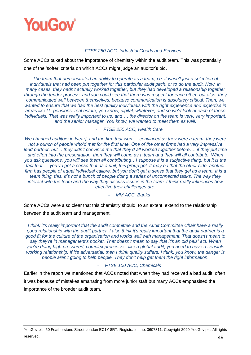

#### - *FTSE 250 ACC, Industrial Goods and Services*

Some ACCs talked about the importance of chemistry within the audit team. This was potentially one of the 'softer' criteria on which ACCs might judge an auditor's bid.

*The team that demonstrated an ability to operate as a team, i.e. it wasn't just a selection of individuals that had been put together for this particular audit pitch, or to do the audit. Now, in many cases, they hadn't actually worked together, but they had developed a relationship together through the tender process, and you could see that there was respect for each other, but also, they communicated well between themselves, because communication is absolutely critical. Then, we wanted to ensure that we had the best quality individuals with the right experience and expertise in areas like IT, pensions, real estate, you know, digital, whatever, and so we'd look at each of those individuals. That was really important to us, and … the director on the team is very, very important, and the senior manager. You know, we wanted to meet them as well.*

- *FTSE 250 ACC, Health Care*

*We changed auditors in [year], and the firm that won … convinced us they were a team, they were not a bunch of people who'd met for the first time. One of the other firms had a very impressive lead partner, but …they didn't convince me that they'd all worked together before…. if they put time and effort into the presentation, then they will come as a team and they will all contribute. When you ask questions, you will see them all contributing…I suppose it is a subjective thing, but it is the*  fact that ... you've got a sense that as a unit, this group gel. It may be that the other side, another firm has people of equal individual calibre, but you don't get a sense that they gel as a team. It is a *team thing, this. It's not a bunch of people doing a series of unconnected tasks. The way they interact with the team and the way they discuss issues in the team, I think really influences how effective their challenges are.*

- *MM ACC, Banks*

Some ACCs were also clear that this chemistry should, to an extent, extend to the relationship between the audit team and management.

*I think it's really important that the audit committee and the Audit Committee Chair have a really good relationship with the audit partner. I also think it's really important that the audit partner is a good fit for the culture of the organisation and works well with management. That doesn't mean to say they're in management's pocket. That doesn't mean to say that it's an old pals' act. When you're doing high pressured, complex processes, like a global audit, you need to have a sensible working relationship. If it's adversarial, then I think quality suffers. I think, you know, the danger is people aren't going to help people. They don't help get them the right information.*

#### - *FTSE 100 ACC, Chemicals*

Earlier in the report we mentioned that ACCs noted that when they had received a bad audit, often it was because of mistakes emanating from more junior staff but many ACCs emphasised the importance of the broader audit team.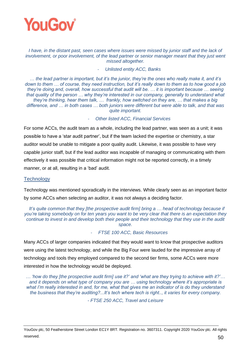

*I have, in the distant past, seen cases where issues were missed by junior staff and the lack of involvement, or poor involvement, of the lead partner or senior manager meant that they just went missed altogether.* 

- *Unlisted entity ACC, Banks*

… *the lead partner is important, but it's the junior, they're the ones who really make it, and it's down to them … of course, they need instruction, but it's really down to them as to how good a job they're doing and, overall, how successful that audit will be. … it is important because … seeing that quality of the person … why they're interested in our company, generally to understand what they're thinking, hear them talk, … frankly, how switched on they are, … that makes a big difference, and … in both cases … both juniors were different but were able to talk, and that was quite important.*

- *Other listed ACC, Financial Services*

For some ACCs, the audit team as a whole, including the lead partner, was seen as a unit; it was possible to have a 'star audit partner', but if the team lacked the expertise or chemistry, a star auditor would be unable to mitigate a poor quality audit. Likewise, it was possible to have very capable junior staff, but if the lead auditor was incapable of managing or communicating with them effectively it was possible that critical information might not be reported correctly, in a timely manner, or at all, resulting in a 'bad' audit.

# **Technology**

Technology was mentioned sporadically in the interviews. While clearly seen as an important factor by some ACCs when selecting an auditor, it was not always a deciding factor.

 *It's quite common that they [the prospective audit firm] bring a … head of technology because if you're taking somebody on for ten years you want to be very clear that there is an expectation they continue to invest in and develop both their people and their technology that they use in the audit space.* 

- *FTSE 100 ACC, Basic Resources*

Many ACCs of larger companies indicated that they would want to know that prospective auditors were using the latest technology, and while the Big Four were lauded for the impressive array of technology and tools they employed compared to the second tier firms, some ACCs were more interested in how the technology would be deployed.

*… 'how do they [the prospective audit firm] use it?' and 'what are they trying to achieve with it?'… and it depends on what type of company you are … using technology where it's appropriate is what I'm really interested in and, for me, what that gives me an indicator of is do they understand the business that they're auditing?...It's tech where tech is right.., it varies for every company.*

*- FTSE 250 ACC, Travel and Leisure*

YouGov plc, 50 Featherstone Street London EC1Y 8RT. Registration no. 3607311. Copyright 2020 YouGov plc. All rights reserved.  $50$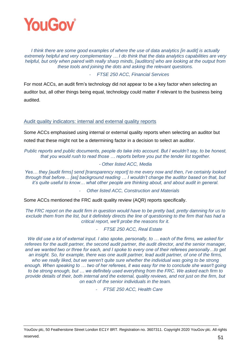

*I think there are some good examples of where the use of data analytics [in audit] is actually extremely helpful and very complementary … I do think that the data analytics capabilities are very helpful, but only when paired with really sharp minds, [auditors] who are looking at the output from these tools and joining the dots and asking the relevant questions.*

- *FTSE 250 ACC, Financial Services*

For most ACCs, an audit firm's technology did not appear to be a key factor when selecting an auditor but, all other things being equal, technology could matter if relevant to the business being audited.

## Audit quality indicators: internal and external quality reports

Some ACCs emphasised using internal or external quality reports when selecting an auditor but noted that these might not be a determining factor in a decision to select an auditor.

*Public reports and public documents, people do take into account. But I wouldn't say, to be honest, that you would rush to read those … reports before you put the tender list together.*

#### *- Other listed ACC, Media*

*Yes… they [audit firms] send [transparency report] to me every now and then, I've certainly looked through that before… [as] background reading … I wouldn't change the auditor based on that, but it's quite useful to know… what other people are thinking about, and about audit in general.*

- *Other listed ACC, Construction and Materials*

Some ACCs mentioned the FRC audit quality review (AQR) reports specifically.

*The FRC report on the audit firm in question would have to be pretty bad, pretty damning for us to exclude them from the list, but it definitely directs the line of questioning to the firm that has had a critical report, we'll probe the reasons for it.*

- *FTSE 250 ACC, Real Estate*

*We did use a lot of external input. I also spoke, personally, to … each of the firms, we asked for referees for the audit partner, the second audit partner, the audit director, and the senior manager, and we wanted two or three for each, and I spoke to every one of their referees personally…to get an insight. So, for example, there was one audit partner, lead audit partner, of one of the firms,*  who we really liked, but we weren't quite sure whether the individual was going to be strong *enough. When speaking to … two of her referees, it was easy for me to conclude she wasn't going to be strong enough, but … we definitely used everything from the FRC. We asked each firm to provide details of their, both internal and the external, quality reviews, and not just on the firm, but on each of the senior individuals in the team.*

- *FTSE 250 ACC, Health Care*

YouGov plc, 50 Featherstone Street London EC1Y 8RT. Registration no. 3607311. Copyright 2020 YouGov plc. All rights reserved.  $51$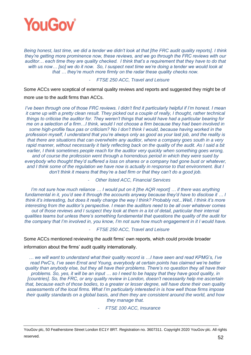

*Being honest, last time, we did a tender we didn't look at that [the FRC audit quality reports]. I think they're getting more prominence now, these reviews, and we go through the FRC reviews with our auditor… each time they are quality checked. I think that's a requirement that they have to do that with us now… [so] we do it now. So, I suspect next time we're doing a tender we would look at that … they're much more firmly on the radar these quality checks now.*

#### - *FTSE 250 ACC, Travel and Leisure*

Some ACCs were sceptical of external quality reviews and reports and suggested they might be of more use to the audit firms than ACCs.

*I've been through one of those FRC reviews. I didn't find it particularly helpful if I'm honest. I mean it came up with a pretty clean result. They picked out a couple of really, I thought, rather technical things to criticise the auditor for. They weren't things that would have had a particular bearing for me on a selection of a firm…I think, would I not choose a firm because they had been involved in some high-profile faux pas or criticism? No I don't think I would, because having worked in the profession myself, I understand that you're always only as good as your last job, and the reality is that there are situations that can overwhelm any auditor, where a company goes south in a very rapid manner, without necessarily it fairly reflecting back on the quality of the audit. As I said a bit*  earlier, I think sometimes people reach for the auditor very quickly when something goes wrong, *and of course the profession went through a horrendous period in which they were sued by everybody who thought they'd suffered a loss on shares or a company had gone bust or whatever, and I think some of the regulation we have now is actually in response to that environment. But I don't think it means that they're a bad firm or that they can't do a good job.*

- *Other listed ACC, Financial Services*

*I'm not sure how much reliance … I would put on it [the AQR report] ... if there was anything fundamental in it, you'd see it through the accounts anyway because they'd have to disclose it … I think it's interesting, but does it really change the way I think? Probably not...Well, I think it's more interesting from the auditor's perspective. I mean the auditors need to be all over whatever comes out of those reviews and I suspect they look at them in a lot of detail, particular their internal qualities teams but unless there's something fundamental that questions the quality of the audit for the company that I'm involved in, you know, I'm not sure how much engagement in it I would have.* 

- *FTSE 250 ACC, Travel and Leisure*

Some ACCs mentioned reviewing the audit firms' own reports, which could provide broader information about the firms' audit quality internationally.

*… we will want to understand what their quality record is …I have seen and read KPMG's, I've read PwC's, I've seen Ernst and Young, everybody at certain points has claimed we're better quality than anybody else, but they all have their problems. There's no question they all have their problems. So, yes, it will be an input … so I need to be happy that they have good quality, in [countries]. So, the FRC, or any quality review in London, doesn't necessarily help me ascertain that, because each of those bodies, to a greater or lesser degree, will have done their own quality assessments of the local firms. What I'm particularly interested in is how well those firms impose their quality standards on a global basis, and then they are consistent around the world, and how they manage that.*

- *FTSE 100 ACC, Insurance*

YouGov plc, 50 Featherstone Street London EC1Y 8RT. Registration no. 3607311. Copyright 2020 YouGov plc. All rights reserved.  $52$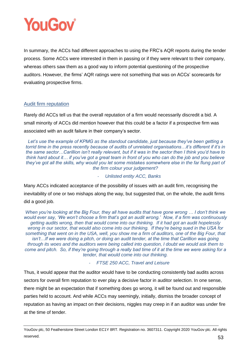

In summary, the ACCs had different approaches to using the FRC's AQR reports during the tender process. Some ACCs were interested in them in passing or if they were relevant to their company, whereas others saw them as a good way to inform potential questioning of the prospective auditors. However, the firms' AQR ratings were not something that was on ACCs' scorecards for evaluating prospective firms.

# Audit firm reputation

Rarely did ACCs tell us that the overall reputation of a firm would necessarily discredit a bid. A small minority of ACCs did mention however that this could be a factor if a prospective firm was associated with an audit failure in their company's sector.

*Let's use the example of KPMG as the standout candidate, just because they've been getting a torrid time in the press recently because of audits of unrelated organisations…it's different if it's in the same sector…Carillion isn't really relevant, but if it was in the sector then I think you'd have to think hard about it… if you've got a great team in front of you who can do the job and you believe they've got all the skills, why would you let some mistakes somewhere else in the far flung part of the firm colour your judgement?*

- *Unlisted entity ACC, Banks*

Many ACCs indicated acceptance of the possibility of issues with an audit firm, recognising the inevitability of one or two mishaps along the way, but suggested that, on the whole, the audit firms did a good job.

*When you're looking at the Big Four, they all have audits that have gone wrong … I don't think we would ever say, 'We won't choose a firm that's got an audit wrong.' Now, if a firm was continuously getting audits wrong, then that would come into our thinking. If it had got an audit hopelessly wrong in our sector, that would also come into our thinking. If they're being sued in the USA for something that went on in the USA, well, you show me a firm of auditors, one of the Big Four, that*  isn't...If we were doing a pitch, or doing an audit tender, at the time that Carillion was going *through its woes and the auditors were being called into question, I doubt we would ask them to come and pitch. So, if they're going through a really bad time of it at the time we were asking for a tender, that would come into our thinking.* 

# - *FTSE 250 ACC, Travel and Leisure*

Thus, it would appear that the auditor would have to be conducting consistently bad audits across sectors for overall firm reputation to ever play a decisive factor in auditor selection. In one sense, there might be an expectation that if something does go wrong, it will be found out and responsible parties held to account. And while ACCs may seemingly, initially, dismiss the broader concept of reputation as having an impact on their decisions, niggles may creep in if an auditor was under fire at the time of tender.

YouGov plc, 50 Featherstone Street London EC1Y 8RT. Registration no. 3607311. Copyright 2020 YouGov plc. All rights reserved.  $53$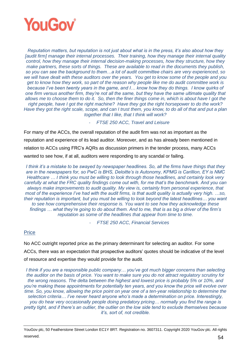

*Reputation matters, but reputation is not just about what is in the press, it's also about how they [audit firm] manage their internal processes. Their training, how they manage their internal quality control, how they manage their internal decision-making processes, how they structure, how they make partners, these sorts of things. These are available to read in the documents they publish, so you can see the background to them…a lot of audit committee chairs are very experienced, so we will have dealt with these auditors over the years. You get to know some of the people and you get to know how they work, so part of the reason why people like me do audit committee work is because I've been twenty years in the game, and I… know how they do things. I know quirks of one firm versus another firm, they're not all the same, but they have the same ultimate quality that allows me to choose them to do it. So, then the finer things come in, which is about have I got the right people, have I got the right machine? Have they got the right horsepower to do the work? Have they got the right scale, scope, and can I trust them, you know, to do all of that and put a plan together that I like, that I think will work?*

- *FTSE 250 ACC, Travel and Leisure*

For many of the ACCs, the overall reputation of the audit firm was not as important as the reputation and experience of its lead auditor. Moreover, and as has already been mentioned in relation to ACCs using FRC's AQRs as discussion primers in the tender process, many ACCs wanted to see how, if at all, auditors were responding to any scandal or failing.

*I think it's a mistake to be swayed by newspaper headlines. So, all the firms have things that they are in the newspapers for, so PwC is BHS, Deloitte's is Autonomy, KPMG is Carillion, EY is NMC Healthcare … I think you must be willing to look through those headlines, and certainly look very carefully at what the FRC quality findings come out with, for me that's the benchmark. And you can always make improvements to audit quality. My view is, certainly from personal experience, that most of the experience I've had with the audit firms, is that audit quality is actually very high. …so, their reputation is important, but you must be willing to look beyond the latest headlines… you want to see how comprehensive their response is. You want to see how they acknowledge these findings … what they're going to do about them. And to me, that is as big a driver of the firm's reputation as some of the headlines that appear from time to time.*

- *FTSE 250 ACC, Financial Services*

# **Price**

No ACC outright reported price as the primary determinant for selecting an auditor. For some ACCs, there was an expectation that prospective auditors' quotes should be indicative of the level of resource and expertise they would provide for the audit.

*I think if you are a responsible public company… you've got much bigger concerns than selecting the auditor on the basis of price. You want to make sure you do not attract regulatory scrutiny for the wrong reasons. The delta between the highest and lowest price is probably 5% or 10%, and you're making these appointments for potentially ten years, and you know the price will evolve over time. So, you know, allowing the price point on year one of a ten-year relationship to determine the selection criteria… I've never heard anyone who's made a determination on price. Interestingly, you do hear very occasionally people doing predatory pricing… normally you find the range is pretty tight, and if there's an outlier, the outlier on the low side tend to exclude themselves because it's, sort of, not credible.*

YouGov plc, 50 Featherstone Street London EC1Y 8RT. Registration no. 3607311. Copyright 2020 YouGov plc. All rights reserved.  $54$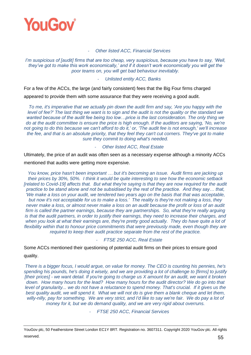

#### - *Other listed ACC, Financial Services*

*I'm suspicious of [audit] firms that are too cheap, very suspicious, because you have to say, 'Well, they've got to make this work economically,' and if it doesn't work economically you will get the poor teams on, you will get bad behaviour inevitably.*

#### - *Unlisted entity ACC, Banks*

For a few of the ACCs, the large (and fairly consistent) fees that the Big Four firms charged appeared to provide them with some assurance that they were receiving a good audit.

*To me, it's imperative that we actually pin down the audit firm and say, 'Are you happy with the level of fee?' The last thing we want is to sign and the audit is not the quality or the standard we wanted because of the audit fee being too low…price is the last consideration. The only thing we do at the audit committee is ensure the price is high enough. If the auditors are saying, 'No, we're not going to do this because we can't afford to do it,' or, 'The audit fee is not enough,' we'll increase the fee, and that is an absolute priority, that they feel they can't cut corners. They've got to make sure they commit to doing what's needed.*

#### - *Other listed ACC, Real Estate*

Ultimately, the price of an audit was often seen as a necessary expense although a minority ACCs mentioned that audits were getting more expensive.

*You know, price hasn't been important … but it's becoming an issue. Audit firms are jacking up their prices by 30%, 50%. I think it would be quite interesting to see how the economic setback [related to Covid-19] affects that. But what they're saying is that they are now required for the audit practice to be stand alone and not be subsidised by the rest of the practice. And they say… that, 'We make a loss on your audit, we tendered two years ago on the basis that that was acceptable, but now it's not acceptable for us to make a loss.' The reality is they're not making a loss, they never make a loss, or almost never make a loss on an audit because the profit or loss of an audit firm is called the partner earnings, because they are partnerships. So, what they're really arguing is that the audit partners, in order to justify their earnings, they need to increase their charges, and*  when you look at what their earnings are, they're pretty good actually. They do have quite a lot of *flexibility within that to honour price commitments that were previously made, even though they are required to keep their audit practice separate from the rest of the practice.* 

#### - *FTSE 250 ACC, Real Estate*

Some ACCs mentioned their questioning of potential audit firms on their prices to ensure good quality.

*There is a bigger focus, I would argue, on value for money. The CEO is counting his pennies, he's spending his pounds, he's doing it wisely, and we are providing a lot of challenge to [firms] to justify [their prices] - we want detail. If you're going to charge us X amount for an audit, we want it broken down. How many hours for the lead? How many hours for the audit director? We do go into that level of granularity... we do not have a reluctance to spend money. That's crucial. If it gives us the best quality audit, we will spend it. What we will not do is give them a blank cheque and let them, willy-nilly, pay for something. We are very strict, and I'd like to say we're fair. We do pay a lot of money for it, but we do demand quality, and we are very rigid about overruns.* 

- *FTSE 250 ACC, Financial Services*

YouGov plc, 50 Featherstone Street London EC1Y 8RT. Registration no. 3607311. Copyright 2020 YouGov plc. All rights reserved.  $55$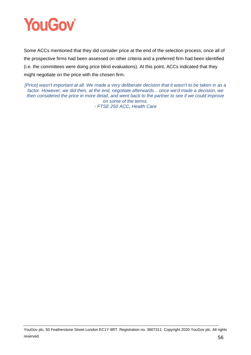

Some ACCs mentioned that they did consider price at the end of the selection process, once all of the prospective firms had been assessed on other criteria and a preferred firm had been identified (i.e. the committees were doing price blind evaluations). At this point, ACCs indicated that they might negotiate on the price with the chosen firm.

*[Price] wasn't important at all. We made a very deliberate decision that it wasn't to be taken in as a factor. However, we did then, at the end, negotiate afterwards... once we'd made a decision, we then considered the price in more detail, and went back to the partner to see if we could improve on some of the terms. - FTSE 250 ACC, Health Care*

YouGov plc, 50 Featherstone Street London EC1Y 8RT. Registration no. 3607311. Copyright 2020 YouGov plc. All rights reserved.  $56$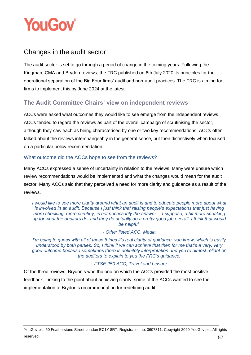

# Changes in the audit sector

The audit sector is set to go through a period of change in the coming years. Following the Kingman, CMA and Brydon reviews, the FRC published on 6th July 2020 its principles for the operational separation of the Big Four firms' audit and non-audit practices. The FRC is aiming for firms to implement this by June 2024 at the latest.

# **The Audit Committee Chairs' view on independent reviews**

ACCs were asked what outcomes they would like to see emerge from the independent reviews. ACCs tended to regard the reviews as part of the overall campaign of scrutinising the sector, although they saw each as being characterised by one or two key recommendations. ACCs often talked about the reviews interchangeably in the general sense, but then distinctively when focused on a particular policy recommendation.

# What outcome did the ACCs hope to see from the reviews?

Many ACCs expressed a sense of uncertainty in relation to the reviews. Many were unsure which review recommendations would be implemented and what the changes would mean for the audit sector. Many ACCs said that they perceived a need for more clarity and guidance as a result of the reviews.

*I would like to see more clarity around what an audit is and to educate people more about what is involved in an audit. Because I just think that raising people's expectations that just having more checking, more scrutiny, is not necessarily the answer… I suppose, a bit more speaking up for what the auditors do, and they do actually do a pretty good job overall. I think that would be helpful.*

#### *- Other listed ACC, Media*

*I'm going to guess with all of these things it's real clarity of guidance, you know, which is easily understood by both parties. So, I think if we can achieve that then for me that's a very, very good outcome because sometimes there is definitely interpretation and you're almost reliant on the auditors to explain to you the FRC's guidance.* 

# *- FTSE 250 ACC, Travel and Leisure*

Of the three reviews, Brydon's was the one on which the ACCs provided the most positive feedback. Linking to the point about achieving clarity, some of the ACCs wanted to see the implementation of Brydon's recommendation for redefining audit.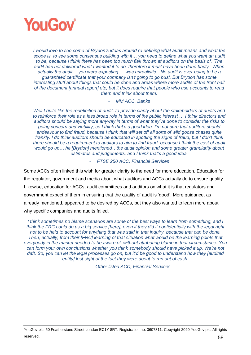

*I* would love to see some of Brydon's ideas around re-defining what audit means and what the *scope is, to see some consensus building with it… you need to define what you want an audit to be, because I think there has been too much flak thrown at auditors on the basis of, 'The audit has not delivered what I wanted it to do, therefore it must have been done badly.' When actually the audit …you were expecting … was unrealistic…No audit is ever going to be a guaranteed certificate that your company isn't going to go bust. But Brydon has some interesting stuff about things that could be done and areas where more audits of the front half of the document [annual report] etc, but it does require that people who use accounts to read them and think about them.*

- *MM ACC, Banks*

*Well I quite like the redefinition of audit, to provide clarity about the stakeholders of audits and to reinforce their role as a less broad role in terms of the public interest … I think directors and auditors should be saying more anyway in terms of what they've done to consider the risks to going concern and viability, so I think that's a good idea. I'm not sure that auditors should endeavour to find fraud, because I think that will set off all sorts of wild goose chases quite frankly. I do think auditors should be educated in spotting the signs of fraud, but I don't think there should be a requirement to auditors to aim to find fraud, because I think the cost of audit would go up… he [Brydon] mentioned…the audit opinion and some greater granularity about estimates and judgements, and I think that's a good idea.*

- *FTSE 250 ACC, Financial Services*

Some ACCs often linked this wish for greater clarity to the need for more education. Education for the regulator, government and media about what auditors and ACCs actually do to ensure quality. Likewise, education for ACCs, audit committees and auditors on what it is that regulators and government expect of them in ensuring that the quality of audit is 'good'. More guidance, as already mentioned, appeared to be desired by ACCs, but they also wanted to learn more about why specific companies and audits failed.

*I think sometimes no blame scenarios are some of the best ways to learn from something, and I think the FRC could do us a big service [here], even if they did it confidentially with the legal right not to be held to account for anything that was said in that inquiry, because that can be done. Then, actually, from their [FRC] learning of that situation what would be the learning points that everybody in the market needed to be aware of, without attributing blame in that circumstance. You can form your own conclusions whether you think somebody should have picked it up. We're not daft. So, you can let the legal processes go on, but it'd be good to understand how they [audited entity] lost sight of the fact they were about to run out of cash.*

- *Other listed ACC, Financial Services*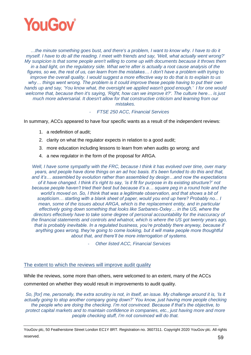

*…the minute something goes bust, and there's a problem, I want to know why. I have to do it myself. I have to do all the reading. I meet with friends and say, 'Well, what actually went wrong?' My suspicion is that some people aren't willing to come up with documents because it throws them in a bad light, on the regulatory side. What we're after is actually a root cause analysis of the figures, so we, the rest of us, can learn from the mistakes… I don't have a problem with trying to improve the overall quality. I would suggest a more effective way to do that is to explain to us why… things went wrong. The problem is it could improve these people having to put their own hands up and say, 'You know what, the oversight we applied wasn't good enough.' I for one would welcome that, because then it's saying, 'Right, how can we improve it?'. The culture here… is just much more adversarial. It doesn't allow for that constructive criticism and learning from our mistakes.*

- *FTSE 250 ACC, Financial Services*

In summary, ACCs appeared to have four specific wants as a result of the independent reviews:

- 1. a redefinition of audit;
- 2. clarity on what the regulator expects in relation to a good audit;
- 3. more education including lessons to learn from when audits go wrong; and
- 4. a new regulator in the form of the proposal for ARGA.

*Well, I have some sympathy with the FRC, because I think it has evolved over time, over many years, and people have done things on an ad hoc basis. It's been funded to do this and that, and it's… assembled by evolution rather than assembled by design…and now the expectations of it have changed. I think it's right to say, 'is it fit for purpose in its existing structure?' not because people haven't tried their best but because it's a… square peg in a round hole and the world's moved on. So, I think that was a legitimate observation, and that shows a bit of scepticism… starting with a blank sheet of paper, would you end up here? Probably no... I mean, some of the issues about ARGA, which is the replacement entity, and in particular effectively going down something that looks like Sarbanes-Oxley… in the US, where the directors effectively have to take some degree of personal accountability for the inaccuracy of the financial statements and controls and whatnot, which is where the US got twenty years ago, that is probably inevitable. In a regulated business, you're probably there anyway, because if*  anything goes wrong, they're going to come looking, but it will make people more thoughtful *about that, and there'll be more interrogation of systems.*

- *Other listed ACC, Financial Services*

#### The extent to which the reviews will improve audit quality

While the reviews, some more than others, were welcomed to an extent, many of the ACCs commented on whether they would result in improvements to audit quality.

*So, [for] me, personally, the extra scrutiny is not, in itself, an issue. My challenge around it is, 'Is it actually going to stop another company going down?' You know, just having more people checking the people who are doing the checking. I'm not convinced. Because if that's the objective, to protect capital markets and to maintain confidence in companies, etc., just having more and more people checking stuff, I'm not convinced will do that.*

YouGov plc, 50 Featherstone Street London EC1Y 8RT. Registration no. 3607311. Copyright 2020 YouGov plc. All rights reserved.  $59$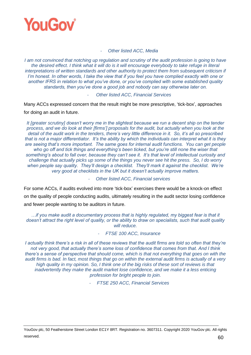

#### - *Other listed ACC, Media*

*I* am not convinced that notching up regulation and scrutiny of the audit profession is going to have *the desired effect. I think what it will do is it will encourage everybody to take refuge in literal interpretations of written standards and other authority to protect them from subsequent criticism if I'm honest. In other words, I take the view that if you feel you have complied exactly with one or another IFRS in relation to what you've done, or you've complied with some established quality standards, then you've done a good job and nobody can say otherwise later on.*

#### - *Other listed ACC, Financial Services*

Many ACCs expressed concern that the result might be more prescriptive, 'tick-box', approaches

for doing an audit in future.

*It [greater scrutiny] doesn't worry me in the slightest because we run a decent ship on the tender process, and we do look at their [firms'] proposals for the audit, but actually when you look at the detail of the audit work in the tenders, there's very little difference in it. So, it's all so prescribed that is not a major differentiator. It's the ability by which the individuals can interpret what it is they are seeing that's more important. The same goes for internal audit functions. You can get people who go off and tick things and everything's been ticked, but you're still none the wiser that something's about to fall over, because they can't see it. It's that level of intellectual curiosity and challenge that actually picks up some of the things you never see hit the press. So, I do worry*  when people say quality. They'll design a checklist. They'll mark it against the checklist. We're *very good at checklists in the UK but it doesn't actually improve matters.*

- *Other listed ACC, Financial services*

For some ACCs, if audits evolved into more 'tick-box' exercises there would be a knock-on effect on the quality of people conducting audits, ultimately resulting in the audit sector losing confidence and fewer people wanting to be auditors in future.

*…if you make audit a documentary process that is highly regulated, my biggest fear is that it doesn't attract the right level of quality, or the ability to draw on specialists, such that audit quality will reduce.*

## - *FTSE 100 ACC, Insurance*

*I actually think there's a risk in all of these reviews that the audit firms are told so often that they're not very good, that actually there's some loss of confidence that comes from that. And I think there's a sense of perspective that should come, which is that not everything that goes on with the audit firms is bad. In fact, most things that go on within the external audit firms is actually of a very high quality in my opinion. So, I think one of the big risks of these sort of reviews is that inadvertently they make the audit market lose confidence, and we make it a less enticing profession for bright people to join.*

- *FTSE 250 ACC, Financial Services*

YouGov plc, 50 Featherstone Street London EC1Y 8RT. Registration no. 3607311. Copyright 2020 YouGov plc. All rights reserved.  $60$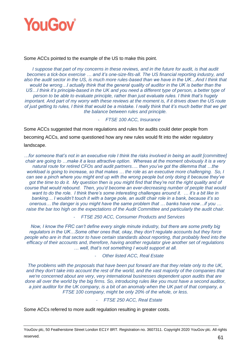

#### Some ACCs pointed to the example of the US to make this point.

*I suppose that part of my concerns in these reviews, and in the future for audit, is that audit becomes a tick-box exercise … and it's one-size-fits-all. The US financial reporting industry, and*  also the audit sector in the US, is much more rules-based than we have in the UK...And I think that *would be wrong…I actually think that the general quality of auditor in the UK is better than the*  US...I think it's principle-based in the UK and you need a different type of person, a better type of *person to be able to evaluate principle, rather than just evaluate rules. I think that's hugely important. And part of my worry with these reviews at the moment is, if it drives down the US route of just getting to rules, I think that would be a mistake. I really think that it's much better that we get the balance between rules and principle.*

#### - *FTSE 100 ACC, Insurance*

Some ACCs suggested that more regulations and rules for audits could deter people from becoming ACCs, and some questioned how any new rules would fit into the wider regulatory landscape.

*…for someone that's not in an executive role I think the risks involved in being an audit [committee] chair are going to …make it a less attractive option. Whereas at the moment obviously it is a very natural route for retired CFOs and audit partners…. then you've got the dilemma that …the workload is going to increase, so that makes … the role as an executive more challenging. So, I can see a pinch where you might end up with the wrong people but only doing it because they've got the time to do it. My question then is you might find that they're not the right quality and of course that would rebound. Then, you'd become an ever-decreasing number of people that would want to do the role. I think there's some interesting challenges around it. … it's a bit like in banking… I wouldn't touch it with a barge pole, an audit chair role in a bank, because it's so onerous… the danger is you might have the same problem that … banks have now…if you …*  raise the bar too high on the expectations of the Audit Committee and particularly the audit chair.

- *FTSE 250 ACC, Consumer Products and Services*

*Now, I know the FRC can't define every single minute industry, but there are some pretty big regulators in the UK…Some other ones that, okay, they don't regulate accounts but they force people who are in that sector to have certain standards about reporting, that probably feed into the efficacy of their accounts and, therefore, having another regulator give another set of regulations … well, that's not something I would support at all.*

- *Other listed ACC, Real Estate*

*The problems with the proposals that have been put forward are that they relate only to the UK, and they don't take into account the rest of the world, and the vast majority of the companies that we're concerned about are very, very international businesses dependent upon audits that are done all over the world by the big firms. So, introducing rules like you must have a second auditor, a joint auditor for the UK company, is a bit of an anomaly when the UK part of that company, a FTSE 100 company, might be only 20% of the whole, or less.*

#### - *FTSE 250 ACC, Real Estate*

Some ACCs referred to more audit regulation resulting in greater costs.

YouGov plc, 50 Featherstone Street London EC1Y 8RT. Registration no. 3607311. Copyright 2020 YouGov plc. All rights reserved.  $61$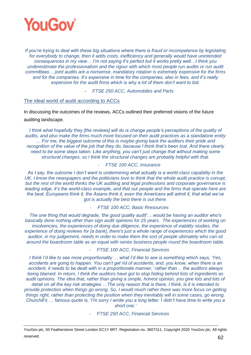

*If you're trying to deal with these big situations where there is fraud or incompetence by legislating for everybody to change, then it adds costs, inefficiency and generally would have unintended consequences in my view… I'm not saying it's perfect but it works pretty well…I think you underestimate the professionalism and the rigour with which most people run audits or run audit committees… joint audits are a nonsense, mandatory rotation is extremely expensive for the firms and for the companies. It's expensive in time for the companies, also in fees, and it's really expensive for the audit firms which is why a lot of them don't want to bid.*

- *FTSE 250 ACC, Automobiles and Parts*

## The ideal world of audit according to ACCs

In discussing the outcomes of the reviews, ACCs outlined their preferred visions of the future auditing landscape.

*I think what hopefully they [the reviews] will do is change people's perceptions of the quality of audits, and also make the firms much more focused on their audit practices as a standalone entity … For me, the biggest outcome of this is maybe giving back the auditors their pride and recognition of the value of the job that they do, because I think that's been lost. And there clearly need to be some steps taken. Like anything, you can't just change that without making some structural changes, so I think the structural changes are probably helpful with that.*

# - *FTSE 100 ACC, Insurance*

*As I say, the outcome I don't want is undermining what actually is a world-class capability in the*  UK. I know the newspapers and the politicians love to think that the whole audit practice is corrupt, *but the rest of the world thinks the UK auditing and legal professions and corporate governance is leading edge, it's the world-class example, and that our people and the firms that operate here are the best. Europeans think it, the Asians think it, even the Americans will admit it, that what we've got is actually the best there is out there.*

- *FTSE 100 ACC, Basic Rresources*

*The one thing that would degrade, 'the good quality audit'… would be having an auditor who's basically done nothing other than sign audit opinions for 25 years. The experiences of working on insolvencies, the experiences of doing due diligence, the experience of viability studies, the experience of doing reviews for [a bank], there's just a whole range of experiences which the good auditor, in my judgement, needs in order to make them the sort of people ultimately who can sit around the boardroom table as an equal with senior business people round the boardroom table.*

- *FTSE 100 ACC, Financial Services*

*I think I'd like to see more proportionality … what I'd like to see is something which says, 'Yes, accidents are going to happen. You can't get rid of accidents, and, you know, when there is an accident, it needs to be dealt with in a proportionate manner,' rather than… the auditors always being blamed. In return, I think the auditors have got to stop hiding behind lists of ingredients as audit opinions. The idea that, rather than giving a simple, honest opinion, you give lots and lots of detail on all the key risk strategies …The only reason that is there, I think, is it is intended to provide protection when things go wrong. So, I would much rather there was more focus on getting things right, rather than protecting the position when they inevitably will in some cases, go wrong. Churchill's … famous quote is, 'I'm sorry I wrote you a long letter. I didn't have time to write you a short one.'*

- *FTSE 250 ACC, Financial Services*

YouGov plc, 50 Featherstone Street London EC1Y 8RT. Registration no. 3607311. Copyright 2020 YouGov plc. All rights reserved.  $62$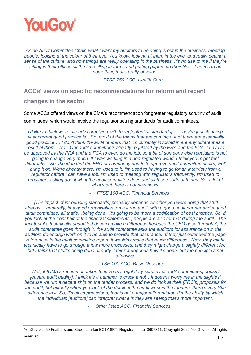

*As an Audit Committee Chair, what I want my auditors to be doing is out in the business, meeting people, looking at the colour of their eye. You know, looking at them in the eye, and really getting a sense of the culture, and how things are really operating in the business. It's no use to me if they're sitting in their offices all the time filling in forms and putting papers on their files. It needs to be something that's really of value.*

- *FTSE 250 ACC, Health Care*

**ACCs' views on specific recommendations for reform and recent** 

**changes in the sector**

Some ACCs offered views on the CMA's recommendation for greater regulatory scrutiny of audit committees, which would involve the regulator setting standards for audit committees.

*I'd like to think we're already complying with them [potential standards] … They're just clarifying what current good practice is…So, most of the things that are coming out of there are essentially good practice … I don't think the audit tenders that I'm currently involved in are any different as a result of them…No…Our audit committee's already regulated by the PRA and the FCA. I have to*  be approved by the PRA and the FCA to even do the job, so a bit of someone else regulating is not *going to change very much. If I was working in a non-regulated world, I think you might feel differently…So, the idea that the FRC or somebody needs to approve audit committee chairs, well bring it on. We're already there. I'm used to it; I'm used to having to go for an interview from a regulator before I can have a job. I'm used to meeting with regulators frequently, I'm used to*  regulators asking about what the audit committee does and all those sorts of things. So, a lot of *what's out there is not new news.*

- *FTSE 100 ACC, Financial Services*

*[The impact of introducing standards] probably depends whether you were doing that stuff already… generally, in a good organisation, on a large audit, with a good audit partner and a good audit committee, all that's…being done. It's going to be more a codification of best practice. So, if you look at the front half of the financial statements-, people are all over that during the audit. The*  fact that it's technically unaudited doesn't make a difference because the CFO goes through it, the *audit committee goes through it, the audit committee asks the auditors for assurance on it, the auditors do enough work on it to be able to provide that assurance. If they just extended the page references in the audit committee report, it wouldn't make that much difference. Now, they might technically have to go through a few more processes, and they might charge a slightly different fee, but I think that stuff's being done already. I think it depends how it's done, but the principle's not offensive.*

- *FTSE 100 ACC, Basic Resources*

*Well, it [CMA's recommendation to increase regulatory scrutiny of audit committees] doesn't [ensure audit quality]. I think it's a hammer to crack a nut…It doesn't worry me in the slightest because we run a decent ship on the tender process, and we do look at their [FRC's] proposals for the audit, but actually when you look at the detail of the audit work in the tenders, there's very little difference in it. So, it's all so prescribed, that is not a major differentiator. It's the ability by which the individuals [auditors] can interpret what it is they are seeing that's more important.*

- *Other listed ACC, Financial Services*

YouGov plc, 50 Featherstone Street London EC1Y 8RT. Registration no. 3607311. Copyright 2020 YouGov plc. All rights reserved.  $63$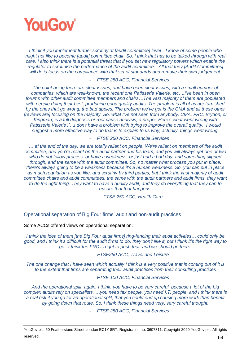

*I think if you implement further scrutiny at [audit committee] level…I know of some people who might not like to become [audit] committee chair. So, I think that has to be talked through with real care. I also think there is a potential threat that if you set new regulatory powers which enable the regulator to scrutinise the performance of the audit committee…All that they [Audit Committees] will do is focus on the compliance with that set of standards and remove their own judgement.*

#### - *FTSE 250 ACC, Financial Services*

*The point being there are clear issues, and have been clear issues, with a small number of companies, which are well-known, the recent one Patisserie Valerie, etc….I've been in open forums with other audit committee members and chairs…The vast majority of them are populated*  with people doing their best, producing good quality audits. The problem is all of us are tarnished *by the ones that go wrong, the bad apples. The problem we've got is the CMA and all these other [reviews are] focusing on the majority. So, what I've not seen from anybody, CMA, FRC, Brydon, or Kingman, is a full diagnosis or root cause analysis, a proper 'Here's what went wrong with Patisserie Valerie'.'…I don't have a problem with trying to improve the overall quality. I would suggest a more effective way to do that is to explain to us why, actually, things went wrong.* 

#### - *FTSE 250 ACC, Financial Services*

*… at the end of the day, we are totally reliant on people. We're reliant on members of the audit committee, and you're reliant on the audit partner and his team, and you will always get one or two who do not follow process, or have a weakness, or just had a bad day, and something slipped through, and the same with the audit committee. So, no matter what process you put in place, there's always going to be a weakness because it's a human weakness. So, you can put in place as much regulation as you like, and scrutiny by third parties, but I think the vast majority of audit committee chairs and audit committees, the same with the audit partners and audit firms, they want to do the right thing. They want to have a quality audit, and they do everything that they can to ensure that that happens.* 

- *FTSE 250 ACC, Health Care*

#### Operational separation of Big Four firms' audit and non-audit practices

Some ACCs offered views on operational separation.

*I think the idea of them [the Big Four audit firms] ring-fencing their audit activities… could only be good, and I think it's difficult for the audit firms to do, they don't like it, but I think it's the right way to go. I think the FRC is right to push that, and we should go there.*

#### - *FTSE250 ACC, Travel and Leisure*

*The one change that I have seen which actually I think is a very positive that is coming out of it is to the extent that firms are separating their audit practices from their consulting practices*

- *FTSE 100 ACC, Financial Services*

*And the operational split, again, I think, you have to be very careful, because a lot of the big complex audits rely on specialists, …you need tax people, you need I.T. people, and I think there is a real risk if you go for an operational split, that you could end up causing more work than benefit by going down that route. So, I think these things need very, very careful thought.*

- *FTSE 250 ACC, Financial Services*

YouGov plc, 50 Featherstone Street London EC1Y 8RT. Registration no. 3607311. Copyright 2020 YouGov plc. All rights reserved.  $64$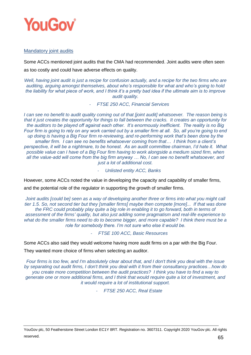

# Mandatory joint audits

Some ACCs mentioned joint audits that the CMA had recommended. Joint audits were often seen as too costly and could have adverse effects on quality.

*Well, having joint audit is just a recipe for confusion actually, and a recipe for the two firms who are auditing, arguing amongst themselves, about who's responsible for what and who's going to hold the liability for what piece of work, and I think it's a pretty bad idea if the ultimate aim is to improve audit quality.*

- *FTSE 250 ACC, Financial Services*

*I can see no benefit to audit quality coming out of that [joint audit] whatsoever. The reason being is that it just creates the opportunity for things to fall between the cracks. It creates an opportunity for the auditors to be played off against each other. It's enormously inefficient. The reality is no Big Four firm is going to rely on any work carried out by a smaller firm at all. So, all you're going to end up doing is having a Big Four firm re-reviewing, and re-performing work that's been done by the smaller firm. I can see no benefits whatsoever coming from that… I think from a client's perspective, it will be a nightmare, to be honest. As an audit committee chairman, I'd hate it. What possible value can I have of a Big Four firm having to work alongside a medium sized firm, when all the value-add will come from the big firm anyway … No, I can see no benefit whatsoever, and just a lot of additional cost.*

- *Unlisted entity ACC, Banks*

However, some ACCs noted the value in developing the capacity and capability of smaller firms,

and the potential role of the regulator in supporting the growth of smaller firms.

*Joint audits [could be] seen as a way of developing another three or firms into what you might call tier 1.5. So, not second tier but they [smaller firms] maybe then compete [more]... If that was done the FRC could probably play quite a big role in enabling it to go forward, both in terms of assessment of the firms' quality, but also just adding some pragmatism and real-life experience to what do the smaller firms need to do to become bigger, and more capable? I think there must be a role for somebody there. I'm not sure who else it would be.*

- *FTSE 100 ACC, Basic Resources*

Some ACCs also said they would welcome having more audit firms on a par with the Big Four.

They wanted more choice of firms when selecting an auditor.

*Four firms is too few, and I'm absolutely clear about that, and I don't think you deal with the issue by separating out audit firms, I don't think you deal with it from their consultancy practices…how do you create more competition between the audit practices? I think you have to find a way to generate one or more additional firms, and I think that would require quite a lot of investment, and it would require a lot of institutional support.*

- *FTSE 250 ACC, Real Estate*

YouGov plc, 50 Featherstone Street London EC1Y 8RT. Registration no. 3607311. Copyright 2020 YouGov plc. All rights reserved.  $65$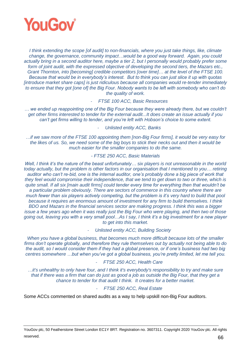

*I think extending the scope [of audit] to non-financials, where you just take things, like, climate change, the governance, community impact…would be a good way forward. Again, you could actually bring in a second auditor here, maybe a tier 2, but I personally would probably prefer some*  form of joint audit, with the expressed objective of developing the second tiers, the Mazars etc., *Grant Thornton, into [becoming] credible competitors [over time]… at the level of the FTSE 100. Because that would be in everybody's interest. But to think you can just slice it up with quotas [introduce market share caps] is just ridiculous because all companies would re-tender immediately to ensure that they got [one of] the Big Four. Nobody wants to be left with somebody who can't do the quality of work.*

- *FTSE 100 ACC, Basic Resources*

*… we ended up reappointing one of the Big Four because they were already there, but we couldn't get other firms interested to tender for the external audit...It does create an issue actually if you can't get firms willing to tender, and you're left with Hobson's choice to some extent.* 

- *Unlisted entity ACC, Banks*

*…if we saw more of the FTSE 100 appointing them [non-Big Four firms], it would be very easy for the likes of us. So, we need some of the big boys to stick their necks out and then it would be much easier for the smaller companies to do the same.* 

# *- FTSE 250 ACC, Basic Materials*

*Well, I think it's the nature of the beast unfortunately… six players is not unreasonable in the world today actually, but the problem is other factors in our organisation that I mentioned to you… retiring auditor who can't re-bid, one is the internal auditor, one's probably done a big piece of work that they feel would compromise their independence, that we tend to get down to two or three, which is quite small. If all six [main audit firms] could tender every time for everything then that wouldn't be a particular problem obviously. There are sectors of commerce in this country where there are much fewer than six players actively competing, but the problem is it's very hard to build that pool because it requires an enormous amount of investment for any firm to build themselves. I think BDO and Mazars in the financial services sector are making progress. I think this was a bigger issue a few years ago when it was really just the Big Four who were playing, and then two of those going out, leaving you with a very small pool…As I say, I think it's a big investment for a new player to get into this market.*

- *Unlisted entity ACC, Building Society*

*When you have a global business, that becomes much more difficult because lots of the smaller firms don't operate globally, and therefore they rule themselves out by actually not being able to do the audit, so I would consider them if they had a global presence, or if one's business had two big centres somewhere …but when you've got a global business, you're pretty limited, let me tell you.*

#### - *FTSE 250 ACC, Health Care*

*…it's unhealthy to only have four, and I think it's everybody's responsibility to try and make sure that if there was a firm that can do just as good a job as outside the Big Four, that they get a chance to tender for that audit I think. It creates for a better market.*

#### - *FTSE 250 ACC, Real Estate*

Some ACCs commented on shared audits as a way to help upskill non-Big Four auditors.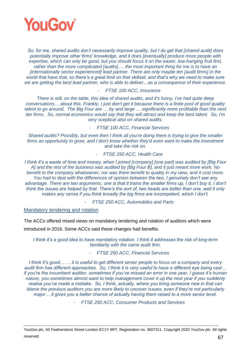

*So, for me, shared audits don't necessarily improve quality, but I do get that [shared audit] does potentially improve other firms' knowledge, and it does [eventually] produce more people with expertise, which can only be good, but you should focus it on the easier, low-hanging fruit first, rather than the more complicated [audits]…. the most important thing for me is to have an [internationally sector experienced] lead partner. There are only maybe ten [audit firms] in the*  world that have that, so there's a great limit on that skillset, and that's why we need to make sure *we are getting the best lead partner, who is able to deliver…as a consequence of their experience.*

#### - *FTSE 100 ACC, Insurance*

*There is still, on the table, this idea of shared audits, and it's funny, I've had quite deep conversations… about this. Frankly, I just don't get it because there is a finite pool of good quality talent to go around. The Big Four are … by and large … significantly more profitable than the next tier firms. So, normal economics would say that they will attract and keep the best talent. So, I'm very sceptical also on shared audits.*

- *FTSE 100 ACC, Financial Services*

*Shared audits? Possibly, but even then I think all you're doing there is trying to give the smaller* firms an opportunity to grow, and I don't know whether they'd even want to make the investment *and take the risk on.*

- *FTSE 250 ACC, Health Care*

*I think it's a waste of time and money, when I joined [company] [one part] was audited by [Big Four A] and the rest of the business was audited by [Big Four B], and it just meant more work. No benefit to the company whatsoever, nor was there benefit to quality in my view, and it cost more. You had to deal with the differences of opinion between the two, I genuinely don't see any*  advantage. There are two arguments, one is that it trains the smaller firms up, I don't buy it, I don't *think the issues are helped by that. There's the sort of, two heads are better than one, well it only makes any sense if you think broadly the big firms are incompetent, which I don't.*

- *FTSE 250 ACC, Automobiles and Parts*

Mandatory tendering and rotation

The ACCs offered mixed views on mandatory tendering and rotation of auditors which were

introduced in 2016. Some ACCs said these changes had benefits.

*I think it's a good idea to have mandatory rotation. I think it addresses the risk of long-term familiarity with the same audit firm.*

# - *FTSE 250 ACC, Financial Services*

*I think it's good… … it is useful to get different senior people to focus on a company and every audit firm has different approaches. So, I think it is very useful to have a different eye being cast… if you're the incumbent auditor, sometimes if you've missed an error in one year, I guess it's human nature, you sometimes almost want to help management cover it up the next year if you suddenly realise you've made a mistake. So, I think, actually, where you bring someone new in that can blame the previous auditors you are more likely to uncover issues, even if they're not particularly major… it gives you a better chance of actually having them raised to a more senior level.* 

- *FTSE 250 ACC, Consumer Products and Services*

YouGov plc, 50 Featherstone Street London EC1Y 8RT. Registration no. 3607311. Copyright 2020 YouGov plc. All rights reserved.  $67$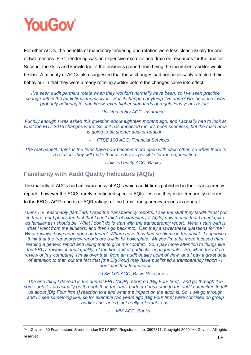

For other ACCs, the benefits of mandatory tendering and rotation were less clear, usually for one of two reasons. First, tendering was an expensive exercise and drain on resources for the auditor. Second, the skills and knowledge of the business gained from being the incumbent auditor would be lost. A minority of ACCs also suggested that these changes had not necessarily affected their behaviour in that they were already rotating auditor before the changes came into effect.

*I've seen audit partners rotate when they wouldn't normally have been, so I've seen practice change within the audit firms themselves. Has it changed anything I've done? No, because I was probably adhering to, you know, even higher standards of regulations years before.*

- *Unlisted entity ACC, Insurance*

*Funnily enough I was asked this question about eighteen months ago, and I actually had to look at what the EU's 2016 changes were. So, if it has impacted me, it's been seamless, but the main area is going to be shorter auditor rotation.*

- *FTSE 100 ACC, Financial Services*

*The real benefit I think is the firms have now become more open with each other, so when there is a rotation, they will make that as easy as possible for the organisation.*

- *Unlisted entity ACC, Banks*

**Familiarity with Audit Quality Indicators (AQIs)**

The majority of ACCs had an awareness of AQIs which audit firms published in their transparency reports, however the ACCs rarely mentioned specific AQIs. Instead they more frequently referred to the FRC's AQR reports or AQR ratings or the firms' transparency reports in general.

*I think I'm reasonably [familiar], I read the transparency reports, I see the stuff they [audit firms] put in there, but I guess the fact that I can't think of examples [of AQIs] now means that I'm not quite as familiar as I should be. What I don't do is start with the transparency report. What I start with is what I want from the auditors, and then I go back into, 'Can they answer these questions for me? What reviews have been done on them? Where have they had problems in the past?' I suppose I think that the transparency reports are a little bit boilerplate. Maybe I'm a bit more focused than reading a generic report and using that to give me comfort. So, I pay more attention to things like the FRC's review of audit quality, of the firm and of particular engagements. So, when they do a*  review of [my company], I'm all over that, from an audit quality point of view, and I pay a great deal *of attention to that, but the fact that [the Big Four] may have published a transparency report - I don't find that that useful.*

- *FTSE 100 ACC, Basic Resources*

*The one thing I do read is the annual FRC [AQR] report on [Big Four firm]…and go through it in some detail. I do actually go through that, the audit partner does come to the audit committee to tell us about [Big Four firm's] reaction to it and what the impact on the audit is. So, I will go through and I'll see something like, so for example two years ago [Big Four firm] were criticised on group audits; fine, noted, not really relevant to us.*

- *MM ACC, Banks*

YouGov plc, 50 Featherstone Street London EC1Y 8RT. Registration no. 3607311. Copyright 2020 YouGov plc. All rights reserved. 68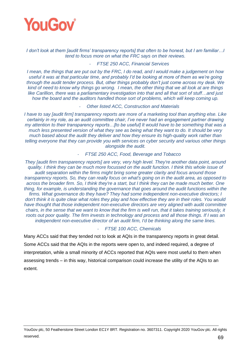

*I don't look at them [audit firms' transparency reports] that often to be honest, but I am familiar…I tend to focus more on what the FRC says on their reviews.*

#### - *FTSE 250 ACC, Financial Services*

*I mean, the things that are put out by the FRC, I do read, and I would make a judgement on how useful it was at that particular time, and probably I'd be looking at more of them as we're going through the audit tender process. But, other things probably don't just come across my desk. We kind of need to know why things go wrong. I mean, the other thing that we all look at are things like Carillion, there was a parliamentary investigation into that and all that sort of stuff…and just how the board and the auditors handled those sort of problems, which will keep coming up.*

#### - *Other listed ACC, Construction and Materials*

*I have to say [audit firm] transparency reports are more of a marketing tool than anything else. Like certainly in my role, as an audit committee chair, I've never had an engagement partner drawing my attention to their transparency reports…[to be useful] It would have to be something that was a much less presented version of what they see as being what they want to do. It should be very much based about the audit they deliver and how they ensure its high-quality work rather than telling everyone that they can provide you with services on cyber security and various other things alongside the audit.*

#### - *FTSE 250 ACC, Food, Beverage and Tobacco*

*They [audit firm transparency reports] are very, very high level. They're another data point, around quality. I think they can be much more focussed on the audit function. I think this whole issue of audit separation within the firms might bring some greater clarity and focus around those transparency reports. So, they can really focus on what's going on in the audit area, as opposed to across the broader firm. So, I think they're a start, but I think they can be made much better. One thing, for example, is understanding the governance that goes around the audit functions within the firms. What governance do they have? They had some independent non-executive directors; I don't think it is quite clear what roles they play and how effective they are in their roles. You would have thought that those independent non-executive directors are very aligned with audit committee chairs, in the sense that we want to know that the firm is well run, that it takes training seriously, it roots out poor quality. The firm invests in technology and process and all those things. If I was an independent non-executive director of an audit firm, I'd be thinking along the same lines.*

#### - *FTSE 100 ACC, Chemicals*

Many ACCs said that they tended not to look at AQIs in the transparency reports in great detail. Some ACCs said that the AQIs in the reports were open to, and indeed required, a degree of interpretation, while a small minority of ACCs reported that AQIs were most useful to them when assessing trends – in this way, historical comparison could increase the utility of the AQIs to an extent.

YouGov plc, 50 Featherstone Street London EC1Y 8RT. Registration no. 3607311. Copyright 2020 YouGov plc. All rights reserved. 69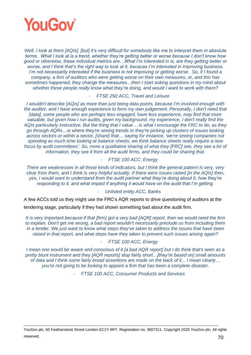

*Well, I look at them [AQIs], [but] it's very difficult for somebody like me to interpret them in absolute terms. What I look at is a trend, whether they're getting better or worse because I don't know how good or otherwise, these individual metrics are…What I'm interested in is, are they getting better or worse, and I think that's the right way to look at it, because I'm interested in improving business. I'm not necessarily interested if the business is not improving or getting worse. So, if I found a company, a firm of auditors who were getting worse on their own measures, or, and this has sometimes happened, they change the measures…then I start asking questions in my mind about whether these people really know what they're doing, and would I want to work with them?*

- *FTSE 250 ACC, Travel and Leisure*

*I wouldn't describe [AQIs] as more than just being data points, because I'm involved enough with the auditor, and I have enough experience to form my own judgement. Personally, I don't need that [data], some people who are perhaps less engaged, have less experience, may find that more valuable, but given how I run audits, given my background, my experience, I don't really find the AQIs particularly instructive. But the thing that I value… is what I encourage the FRC to do, as they go through AQRs…is where they're seeing trends or they're picking up clusters of issues looking across sectors or within a sector, [share] that… saying for instance, 'we're seeing companies not spending as much time looking at balance sheets, we think balance sheets really require a new*  focus by audit committees'. So, more a qualitative sharing of what they [FRC] see, they see a lot of *information, they see it from all the audit firms, and they could be sharing that.*

## - *FTSE 100 ACC, Energy*

*There are weaknesses in all those kinds of indicators, but I think the general pattern is very, very clear from them, and I think is very helpful actually. If there were issues raised [in the AQIs] then, yes, I would want to understand from the audit partner what they're doing about it, how they're responding to it, and what impact if anything it would have on the audit that I'm getting.*

#### - *Unlisted entity ACC, Banks*

A few ACCs told us they might use the FRC's AQR reports to drive questioning of auditors at the tendering stage, particularly if they had shown something bad about the audit firm.

*It is very important because if that [firm] got a very bad [AQR] report, then we would need the firm to explain. Don't get me wrong, a bad report wouldn't necessarily preclude us from including them in a tender. We just want to know what steps they've taken to address the issues that have been raised in that report, and what steps have they taken to prevent such issues arising again?*

# - *FTSE 100 ACC, Energy*

*I mean one would be aware and conscious of it [a bad AQR report] but I do think that's seen as a pretty blunt instrument and they [AQR reports] stop fairly short…[they're based on] small amounts of data and I think some fairly broad assertions are made on the back of it... I mean clearly… you're not going to be looking to appoint a firm that has been a complete disaster.*

- *FTSE 100 ACC, Consumer Products and Services*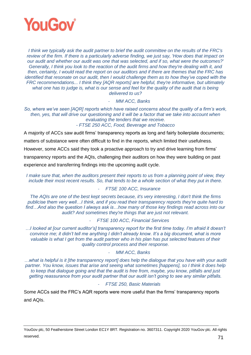

*I think we typically ask the audit partner to brief the audit committee on the results of the FRC's review of the firm. If there is a particularly adverse finding, we just say, 'How does that impact on our audit and whether our audit was one that was selected, and if so, what were the outcomes?' Generally, I think you look to the reaction of the audit firms and how they're dealing with it, and then, certainly, I would read the report on our auditors and if there are themes that the FRC has identified that resonate on our audit, then I would challenge them as to how they've coped with the FRC recommendations... I think they [AQR reports] are helpful, they're informative, but ultimately what one has to judge is, what is our sense and feel for the quality of the audit that is being delivered to us?* 

- *MM ACC, Banks*

*So, where we've seen [AQR] reports which have raised concerns about the quality of a firm's work, then, yes, that will drive our questioning and it will be a factor that we take into account when evaluating the tenders that we receive. - FTSE 250 ACC, Food, Beverage and Tobacco*

A majority of ACCs saw audit firms' transparency reports as long and fairly boilerplate documents;

matters of substance were often difficult to find in the reports, which limited their usefulness.

However, some ACCs said they took a proactive approach to try and drive learning from firms'

transparency reports and the AQIs, challenging their auditors on how they were building on past

experience and transferring findings into the upcoming audit cycle.

*I make sure that, when the auditors present their reports to us from a planning point of view, they include their most recent results. So, that tends to be a whole section of what they put in there.*

# - *FTSE 100 ACC, Insurance*

*The AQIs are one of the best kept secrets because, it's very interesting, I don't think the firms publicise them very well…I think, and if you read their transparency reports they're quite hard to find…And also the question I always ask is…how many of those key findings read across into our audit? And sometimes they're things that are just not relevant.*

#### - *FTSE 100 ACC, Financial Services*

*…I looked at [our current auditor's] transparency report for the first time today. I'm afraid it doesn't convince me; it didn't tell me anything I didn't already know. It's a big document, what is more valuable is what I get from the audit partner who in his plan has put selected features of their quality control process and their response.* 

#### - *MM ACC, Banks*

*…what is helpful is it [the transparency report] does help the dialogue that you have with your audit partner. You know, issues that arise and seeing what sometimes [happens], so I think it does help to keep that dialogue going and that the audit is free from, maybe, you know, pitfalls and just getting reassurance from your audit partner that our audit isn't going to see any similar pitfalls.* 

#### - *FTSE 250, Basic Materials*

Some ACCs said the FRC's AQR reports were more useful than the firms' transparency reports and AQIs.

YouGov plc, 50 Featherstone Street London EC1Y 8RT. Registration no. 3607311. Copyright 2020 YouGov plc. All rights reserved. The contract of the contract of the contract of the contract of the contract of the contract of the contract of the contract of the contract of the contract of the contract of the contract of the contract of the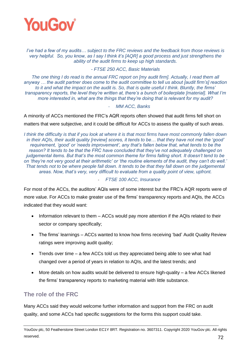

*I've had a few of my audits… subject to the FRC reviews and the feedback from those reviews is very helpful. So, you know, as I say I think it's [AQR] a good process and just strengthens the ability of the audit firms to keep up high standards.*

*- FTSE 250 ACC, Basic Materials*

*The one thing I do read is the annual FRC report on [my audit firm]. Actually, I read them all anyway … the audit partner does come to the audit committee to tell us about [audit firm's] reaction*  to it and what the *impact on the audit is.* So, that is quite useful I think. Bluntly, the firms' *transparency reports, the level they're written at, there's a bunch of boilerplate [material]. What I'm more interested in, what are the things that they're doing that is relevant for my audit?*

## - *MM ACC, Banks*

A minority of ACCs mentioned the FRC's AQR reports often showed that audit firms fell short on matters that were subjective, and it could be difficult for ACCs to assess the quality of such areas.

*I think the difficulty is that if you look at where it is that most firms have most commonly fallen down in their AQIs, their audit quality [review] scores, it tends to be… that they have not met the 'good' requirement, 'good' or 'needs improvement', any that's fallen below that, what tends to be the reason? It tends to be that the FRC have concluded that they've not adequately challenged on judgemental items. But that's the most common theme for firms falling short. It doesn't tend to be on 'they're not very good at their arithmetic' or 'the routine elements of the audit, they can't do well.' That tends not to be where people fall down. It tends to be that they fall down on the judgemental areas. Now, that's very, very difficult to evaluate from a quality point of view, upfront.* 

## - *FTSE 100 ACC, Insurance*

For most of the ACCs, the auditors' AQIs were of some interest but the FRC's AQR reports were of more value. For ACCs to make greater use of the firms' transparency reports and AQIs, the ACCs indicated that they would want:

- Information relevant to them ACCs would pay more attention if the AQIs related to their sector or company specifically;
- The firms' learnings ACCs wanted to know how firms receiving 'bad' Audit Quality Review ratings were improving audit quality;
- Trends over time a few ACCs told us they appreciated being able to see what had changed over a period of years in relation to AQIs, and the latest trends; and
- More details on how audits would be delivered to ensure high-quality a few ACCs likened the firms' transparency reports to marketing material with little substance.

## **The role of the FRC**

Many ACCs said they would welcome further information and support from the FRC on audit quality, and some ACCs had specific suggestions for the forms this support could take.

YouGov plc, 50 Featherstone Street London EC1Y 8RT. Registration no. 3607311. Copyright 2020 YouGov plc. All rights reserved. The contract of the contract of the contract of the contract of the contract of the contract of the contract of the contract of the contract of the contract of the contract of the contract of the contract of the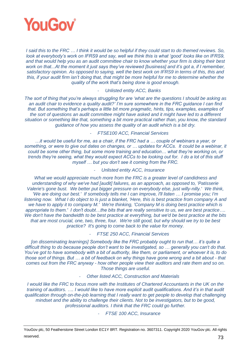

*I said this to the FRC … I think it would be so helpful if they could start to do themed reviews. So, look at everybody's work on IFRS9 and say, well we think this is what 'good' looks like on IFRS9, and that would help you as an audit committee chair to know whether your firm is doing their best work on that...At the moment it just says they've reviewed [business] and it's got a, if I remember, satisfactory opinion. As opposed to saying, well the best work on IFRS9 in terms of this, this and this, if your audit firm isn't doing that, that might be more helpful for me to determine whether the quality of the work that's being done is good enough.*

## - *Unlisted entity ACC, Banks*

*The sort of thing that you're always struggling for are 'what are the questions I should be asking as an audit chair to evidence a quality audit?' I'm sure somewhere in the FRC guidance I can find that. But something that's perhaps a little bit more pragmatic, hints, tips, examples, examples of the sort of questions an audit committee might have asked and it might have led to a different situation or something like that, something a bit more practical rather than, you know, the standard guidance of how you assess the quality of an audit which is a bit dry.*

## - *FTSE100 ACC, Financial Services*

*…it would be useful for me, as a chair, if the FRC had a … couple of webinars a year, or something, or were to give out dates on changes, or … updates for ACCs. It could be a webinar, it could be some other thing, but some more training and education… what they're working on, or trends they're seeing, what they would expect ACCs to be looking out for. I do a lot of this stuff myself … but you don't see it coming from the FRC.* 

## - *Unlisted entity ACC, Insurance*

*What we would appreciate much more from the FRC is a greater level of candidness and understanding of why we've had [audit] failures, as an approach, as opposed to, 'Patisserie Valerie's gone bust. We better put bigger pressure on everybody else, just willy-nilly.' We think, 'We are doing our best.' If somebody tells me I can improve, I'll listen … I promise you; I'm listening now. What I do object to is just a blanket, 'Here, this is best practice from company A and we have to apply it to company M.' We're thinking, 'Company M is doing best practice which is appropriate to them.' I don't doubt…the bits that are really sensitive to us, we are best practice…. We don't have the bandwidth to be best practice at everything, but we'd be best practice at the bits that are most crucial, one, two, three, four. We're still good, but why should we try to be best practice? It's going to come back to the value for money.*

## - *FTSE 250 ACC, Financial Services*

*[on disseminating learnings] Somebody like the FRC probably ought to run that… it's quite a difficult thing to do because people don't want to be investigated, so … generally you can't do that. You've got to have somebody with a bit of authority, like them, or parliament, or whoever it is, to do those sort of things. But … a bit of feedback on why things have gone wrong and a bit about - that comes out from the FRC anyway - how other people view their auditors and rate them and so on. Those things are useful.*

## - *Other listed ACC, Construction and Materials*

*I* would like the FRC to focus more with the Institutes of Chartered Accountants in the UK on the *training of auditors. …. I would like to have more explicit audit qualifications. And it's in that audit qualification through on-the-job learning that I really want to get people to develop that challenging mindset and the ability to challenge their clients. Not to be investigators, but to be good, professional auditors. I think that the FRC could go further.*

- *FTSE 100 ACC, Insurance*

YouGov plc, 50 Featherstone Street London EC1Y 8RT. Registration no. 3607311. Copyright 2020 YouGov plc. All rights reserved.  $73$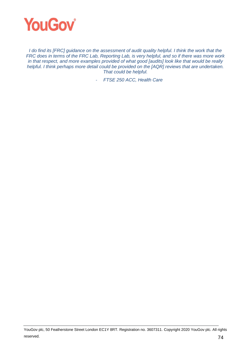

*I* do find its [FRC] guidance on the assessment of audit quality helpful. I think the work that the *FRC does in terms of the FRC Lab, Reporting Lab, is very helpful, and so if there was more work in that respect, and more examples provided of what good [audits] look like that would be really helpful. I think perhaps more detail could be provided on the [AQR] reviews that are undertaken. That could be helpful.*

- *FTSE 250 ACC, Health Care*

YouGov plc, 50 Featherstone Street London EC1Y 8RT. Registration no. 3607311. Copyright 2020 YouGov plc. All rights reserved.  $74$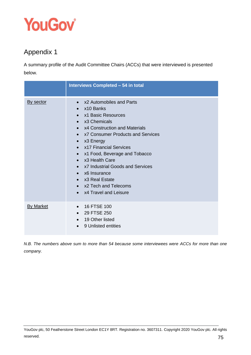

# Appendix 1

A summary profile of the Audit Committee Chairs (ACCs) that were interviewed is presented below.

|                  | Interviews Completed - 54 in total                                                                                                                                                                                                                                                                                                                                                                                                                                                                                             |
|------------------|--------------------------------------------------------------------------------------------------------------------------------------------------------------------------------------------------------------------------------------------------------------------------------------------------------------------------------------------------------------------------------------------------------------------------------------------------------------------------------------------------------------------------------|
| By sector        | x2 Automobiles and Parts<br>$\bullet$<br>x10 Banks<br>$\bullet$<br>x1 Basic Resources<br>$\bullet$<br>x3 Chemicals<br>$\bullet$<br>x4 Construction and Materials<br>$\bullet$<br>x7 Consumer Products and Services<br>$\bullet$<br>$\bullet$ x3 Energy<br>x17 Financial Services<br>$\bullet$<br>x1 Food, Beverage and Tobacco<br>$\bullet$<br>x3 Health Care<br>$\bullet$<br>x7 Industrial Goods and Services<br>$\bullet$<br>$\bullet$ x6 Insurance<br>• x3 Real Estate<br>• x2 Tech and Telecoms<br>• x4 Travel and Leisure |
| <b>By Market</b> | 16 FTSE 100<br>$\bullet$<br>29 FTSE 250<br>$\bullet$<br>• 19 Other listed<br>9 Unlisted entities<br>$\bullet$                                                                                                                                                                                                                                                                                                                                                                                                                  |

*N.B. The numbers above sum to more than 54 because some interviewees were ACCs for more than one company.*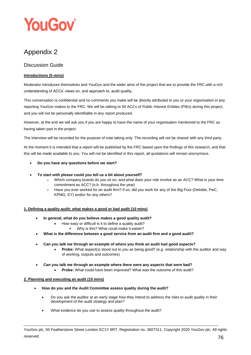

## Appendix 2

## Discussion Guide

## **Introductions (5 mins)**

Moderator introduces themselves and YouGov and the wider aims of the project that are to provide the FRC with a rich understanding of ACCs' views on, and approach to, audit quality.

This conversation is confidential and no comments you make will be directly attributed to you or your organisation in any reporting YouGov makes to the FRC. We will be talking to 50 ACCs of Public Interest Entities (PIEs) during this project, and you will not be personally identifiable in any report produced.

However, at the end we will ask you if you are happy to have the name of your organisation mentioned to the FRC as having taken part in the project.

The interview will be recorded for the purpose of note taking only. The recording will not be shared with any third party.

At the moment it is intended that a report will be published by the FRC based upon the findings of this research, and that this will be made available to you. You will not be identified in this report, all quotations will remain anonymous.

- **Do you have any questions before we start?**
- **To start with please could you tell us a bit about yourself?** 
	- $\circ$  Which company boards do you sit on, and what does your role involve as an ACC? What is your time commitment as ACC? (n.b. throughout the year)
	- o Have you ever worked for an audit firm? If so, did you work for any of the Big Four (Deloitte, PwC, KPMG, EY) and/or for any others?

#### **1. Defining a quality audit; what makes a good or bad audit (10 mins)**

- **In general, what do you believe makes a good quality audit?**
	- How easy or difficult is it to define a quality audit?
		- Why is this? What could make it easier?
- **What is the difference between a good service from an audit firm and a good audit?**
- **Can you talk me through an example of where you think an audit had good aspects?**
	- **Probe:** What aspect(s) stood out to you as being good? (e.g. relationship with the auditor and way of working, outputs and outcomes)

#### • **Can you talk me through an example where there were any aspects that were bad?**

• **Probe:** What could have been improved? What was the outcome of this audit?

#### **2. Planning and executing an audit (15 mins)**

- **How do you and the Audit Committee assess quality during the audit?**
	- Do you ask the auditor at an early stage how they intend to address the risks to audit quality in their development of the audit strategy and plan?
	- What evidence do you use to assess quality throughout the audit?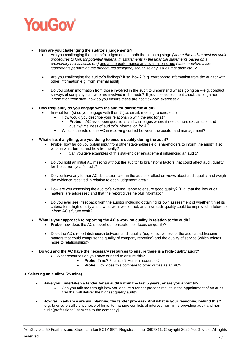

#### • **How are you challenging the auditor's judgements?**

- Are you challenging the auditor's judgements at both the planning stage *(where the auditor designs audit procedures to look for potential material misstatements in the financial statements based on a preliminary risk assessment)* and at the performance and evaluation stage *(when auditors make judgements performing the procedures designed, scrutinise any issues that arise etc.)?*
- Are you challenging the auditor's findings? If so, how? [e.g. corroborate information from the auditor with other information e.g. from internal audit]
- Do you obtain information from those involved in the audit to understand what's going on  $-$  e.g. conduct surveys of company staff who are involved in the audit? If you use assessment checklists to gather information from staff, how do you ensure these are not 'tick-box' exercises?

#### • **How frequently do you engage with the auditor during the audit?**

- In what form(s) do you engage with them? (i.e. email, meeting, phone, etc.)
	- How would you describe your relationship with the auditor(s)?
	- Probe: if AC asks open questions and challenges where it needs more explanation and quality/timeliness of auditor's information for AC
	- What is the role of the AC in resolving conflict between the auditor and management?
- **What else, if anything, are you doing to ensure quality during the audit?**
	- **Probe:** how far do you obtain input from other stakeholders e.g. shareholders to inform the audit? If so who, in what format and how frequently?
		- Can you give examples of this stakeholder engagement influencing an audit?
	- Do you hold an initial AC meeting without the auditor to brainstorm factors that could affect audit quality for the current year's audit?
	- Do you have any further AC discussion later in the audit to reflect on views about audit quality and weigh the evidence received in relation to each judgement area?
	- How are you assessing the auditor's external report to ensure good quality? [E.g. that the 'key audit matters' are addressed and that the report gives helpful information]
	- Do you ever seek feedback from the auditor including obtaining its own assessment of whether it met its criteria for a high-quality audit, what went well or not, and how audit quality could be improved in future to inform AC's future work?
- **What is your approach to reporting the AC's work on quality in relation to the audit?**
	- **Probe**: how does the AC's report demonstrate their focus on quality?
	- Does the AC's report distinguish between audit quality (e.g. effectiveness of the audit at addressing matters that could comprise the quality of company reporting) and the quality of service (which relates more to relationships)?
	- **Do you and the AC have the necessary resources to ensure there is a high-quality audit?**
		- What resources do you have or need to ensure this?
			- **Probe:** Time? Financial? Human resources?
			- **Probe:** How does this compare to other duties as an AC?

#### **3. Selecting an auditor (25 mins)**

- **Have you undertaken a tender for an audit within the last 5 years, or are you about to?**
	- Can you talk me through how you ensure a tender process results in the appointment of an audit firm that will deliver the highest quality audit?
- **How far in advance are you planning the tender process? And what is your reasoning behind this?** [e.g. to ensure sufficient choice of firms; to manage conflicts of interest from firms providing audit and nonaudit (professional) services to the company]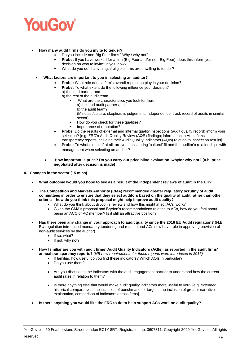

- **How many audit firms do you invite to tender?** 
	- Do you include non-Big Four firms? Why / why not?
	- **Probe:** If you have worked for a firm (Big Four and/or non-Big Four), does this inform your decision on who to invite? If yes, how?
	- What do you do, if anything, if eligible firms are unwilling to tender?
	- **What factors are important to you in selecting an auditor?** 
		- **Probe:** What role does a firm's overall reputation play in your decision?
			- **Probe:** To what extent do the following influence your decision?
			- a) the lead partner and
				- b) the rest of the audit team
					- What are the characteristics you look for from:
						- a) the lead audit partner and
						- b) the audit team?

(Mind set/culture; skepticism; judgement; independence; track record of audits in similar sector)

- How do you check for these qualities?
- Importance of reputation?
- **Probe**: Do the results of external and internal quality inspections (audit quality record) inform your selection? [e.g. FRC's Audit Quality Review (AQR) findings; information in Audit firms' transparency reports including their Audit Quality Indicators (AQIs) relating to inspection results]?
- **Probe:** To what extent, if at all, are you considering 'cultural' fit and the auditor's relationships with management when selecting an auditor?
- **How important is price? Do you carry out price blind evaluation -why/or why not? (n.b. price negotiated after decision is made)**
- **4. Changes in the sector (15 mins)**
	- **What outcome would you hope to see as a result of the independent reviews of audit in the UK?**
	- **The Competition and Markets Authority (CMA) recommended greater regulatory scrutiny of audit committees in order to ensure that they select auditors based on the quality of audit rather than other criteria – how do you think this proposal might help improve audit quality?**
		- What do you think about Brydon's review and how this might affect ACs' work?
			- Given the CMA's proposal and Brydon's recommendations relating to ACs, how do you feel about being an ACC or AC member? Is it still an attractive position?
	- **Has there been any change in your approach to audit quality since the 2016 EU Audit regulation?** (N.B. EU regulation introduced mandatory tendering and rotation and ACs now have role in approving provision of non-audit services by the auditor)
		- If so, what?
		- If not, why not?
	- **How familiar are you with audit firms' Audit Quality Indicators (AQIs), as reported in the audit firms' annual transparency reports?** *(NB new requirements for these reports were introduced in 2016)*
		- If familiar, how useful do you find these indicators? Which AQIs in particular?
		- Do you use them?
		- Are you discussing the indicators with the audit engagement partner to understand how the current audit rates in relation to them?
		- Is there anything else that would make audit quality indicators more useful to you? [e.g. extended historical comparatives, the inclusion of benchmarks or targets, the inclusion of greater narrative explanation, comparison of indicators across firms]
	- **Is there anything you would like the FRC to do to help support ACs work on audit quality?**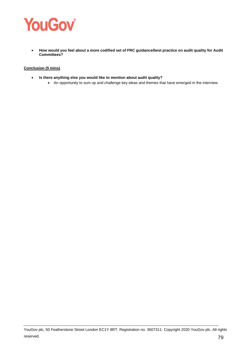

• **How would you feel about a more codified set of FRC guidance/best practice on audit quality for Audit Committees?**

### **Conclusion (5 mins)**

- **Is there anything else you would like to mention about audit quality?** 
	- An opportunity to sum up and challenge key ideas and themes that have emerged in the interview.

YouGov plc, 50 Featherstone Street London EC1Y 8RT. Registration no. 3607311. Copyright 2020 YouGov plc. All rights reserved. The contract of the contract of the contract of the contract of the contract of the contract of the contract of the contract of the contract of the contract of the contract of the contract of the contract of the